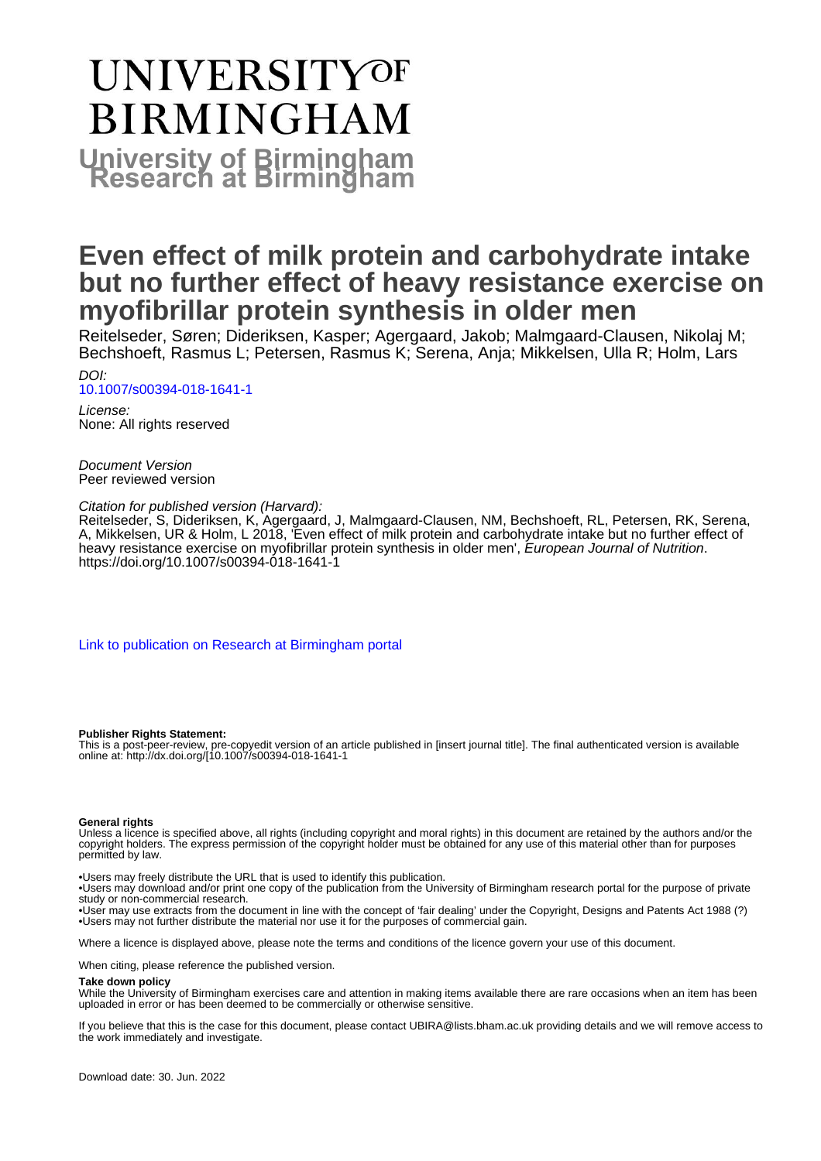# UNIVERSITYOF **BIRMINGHAM University of Birmingham**

#### **Even effect of milk protein and carbohydrate intake but no further effect of heavy resistance exercise on myofibrillar protein synthesis in older men**

Reitelseder, Søren; Dideriksen, Kasper; Agergaard, Jakob; Malmgaard-Clausen, Nikolaj M; Bechshoeft, Rasmus L; Petersen, Rasmus K; Serena, Anja; Mikkelsen, Ulla R; Holm, Lars

DOI: [10.1007/s00394-018-1641-1](https://doi.org/10.1007/s00394-018-1641-1)

License: None: All rights reserved

Document Version Peer reviewed version

Citation for published version (Harvard):

Reitelseder, S, Dideriksen, K, Agergaard, J, Malmgaard-Clausen, NM, Bechshoeft, RL, Petersen, RK, Serena, A, Mikkelsen, UR & Holm, L 2018, 'Even effect of milk protein and carbohydrate intake but no further effect of heavy resistance exercise on myofibrillar protein synthesis in older men', European Journal of Nutrition. <https://doi.org/10.1007/s00394-018-1641-1>

[Link to publication on Research at Birmingham portal](https://birmingham.elsevierpure.com/en/publications/5c156384-a30b-49d4-960c-ab3f9e9b05f3)

#### **Publisher Rights Statement:**

This is a post-peer-review, pre-copyedit version of an article published in [insert journal title]. The final authenticated version is available online at: http://dx.doi.org/[10.1007/s00394-018-1641-1

#### **General rights**

Unless a licence is specified above, all rights (including copyright and moral rights) in this document are retained by the authors and/or the copyright holders. The express permission of the copyright holder must be obtained for any use of this material other than for purposes permitted by law.

• Users may freely distribute the URL that is used to identify this publication.

• Users may download and/or print one copy of the publication from the University of Birmingham research portal for the purpose of private study or non-commercial research.

• User may use extracts from the document in line with the concept of 'fair dealing' under the Copyright, Designs and Patents Act 1988 (?) • Users may not further distribute the material nor use it for the purposes of commercial gain.

Where a licence is displayed above, please note the terms and conditions of the licence govern your use of this document.

When citing, please reference the published version.

#### **Take down policy**

While the University of Birmingham exercises care and attention in making items available there are rare occasions when an item has been uploaded in error or has been deemed to be commercially or otherwise sensitive.

If you believe that this is the case for this document, please contact UBIRA@lists.bham.ac.uk providing details and we will remove access to the work immediately and investigate.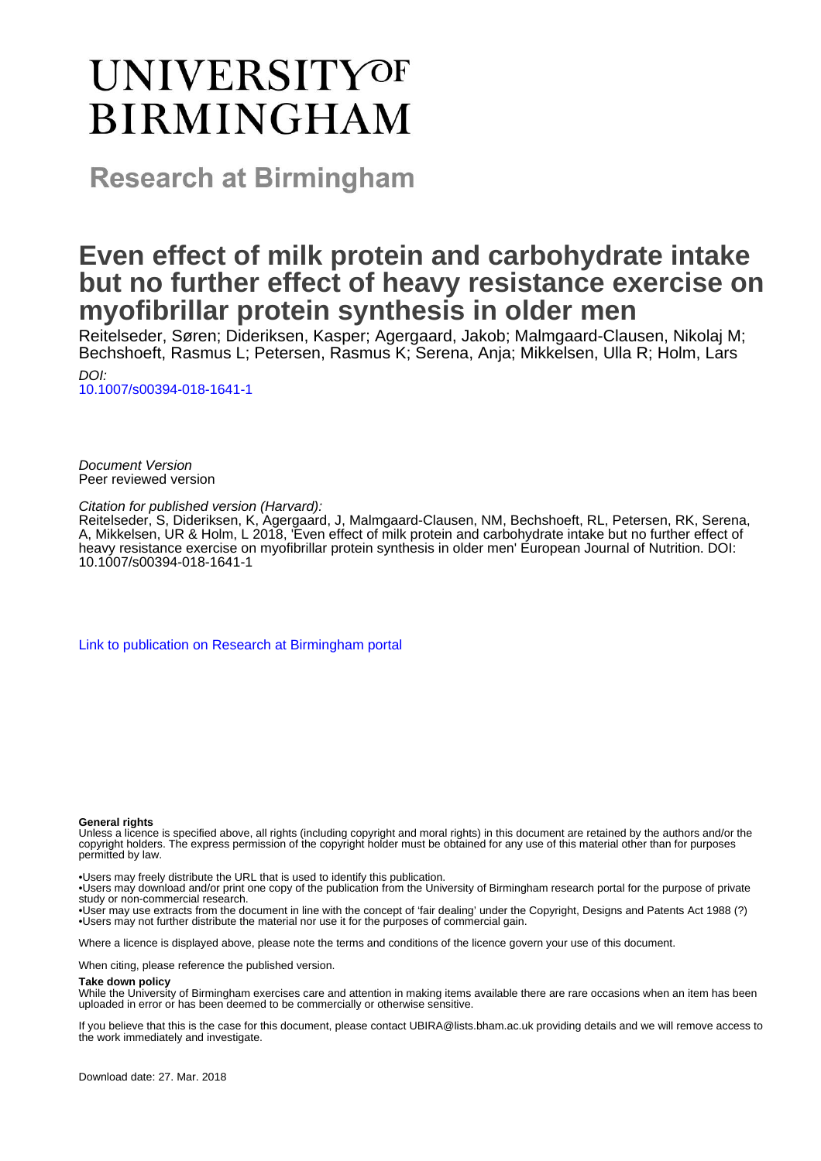# **UNIVERSITYOF BIRMINGHAM**

**Research at Birmingham** 

#### **Even effect of milk protein and carbohydrate intake but no further effect of heavy resistance exercise on myofibrillar protein synthesis in older men**

Reitelseder, Søren; Dideriksen, Kasper; Agergaard, Jakob; Malmgaard-Clausen, Nikolaj M; Bechshoeft, Rasmus L; Petersen, Rasmus K; Serena, Anja; Mikkelsen, Ulla R; Holm, Lars

DOI: [10.1007/s00394-018-1641-1](http://dx.doi.org/10.1007/s00394-018-1641-1)

Document Version Peer reviewed version

Citation for published version (Harvard):

Reitelseder, S, Dideriksen, K, Agergaard, J, Malmgaard-Clausen, NM, Bechshoeft, RL, Petersen, RK, Serena, A, Mikkelsen, UR & Holm, L 2018, 'Even effect of milk protein and carbohydrate intake but no further effect of heavy resistance exercise on myofibrillar protein synthesis in older men' European Journal of Nutrition. DOI: 10.1007/s00394-018-1641-1

[Link to publication on Research at Birmingham portal](https://research.birmingham.ac.uk/portal/en/publications/even-effect-of-milk-protein-and-carbohydrate-intake-but-no-further-effect-of-heavy-resistance-exercise-on-myofibrillar-protein-synthesis-in-older-men(5c156384-a30b-49d4-960c-ab3f9e9b05f3).html)

#### **General rights**

Unless a licence is specified above, all rights (including copyright and moral rights) in this document are retained by the authors and/or the copyright holders. The express permission of the copyright holder must be obtained for any use of this material other than for purposes permitted by law.

• Users may freely distribute the URL that is used to identify this publication.

• Users may download and/or print one copy of the publication from the University of Birmingham research portal for the purpose of private study or non-commercial research.

• User may use extracts from the document in line with the concept of 'fair dealing' under the Copyright, Designs and Patents Act 1988 (?) • Users may not further distribute the material nor use it for the purposes of commercial gain.

Where a licence is displayed above, please note the terms and conditions of the licence govern your use of this document.

When citing, please reference the published version.

#### **Take down policy**

While the University of Birmingham exercises care and attention in making items available there are rare occasions when an item has been uploaded in error or has been deemed to be commercially or otherwise sensitive.

If you believe that this is the case for this document, please contact UBIRA@lists.bham.ac.uk providing details and we will remove access to the work immediately and investigate.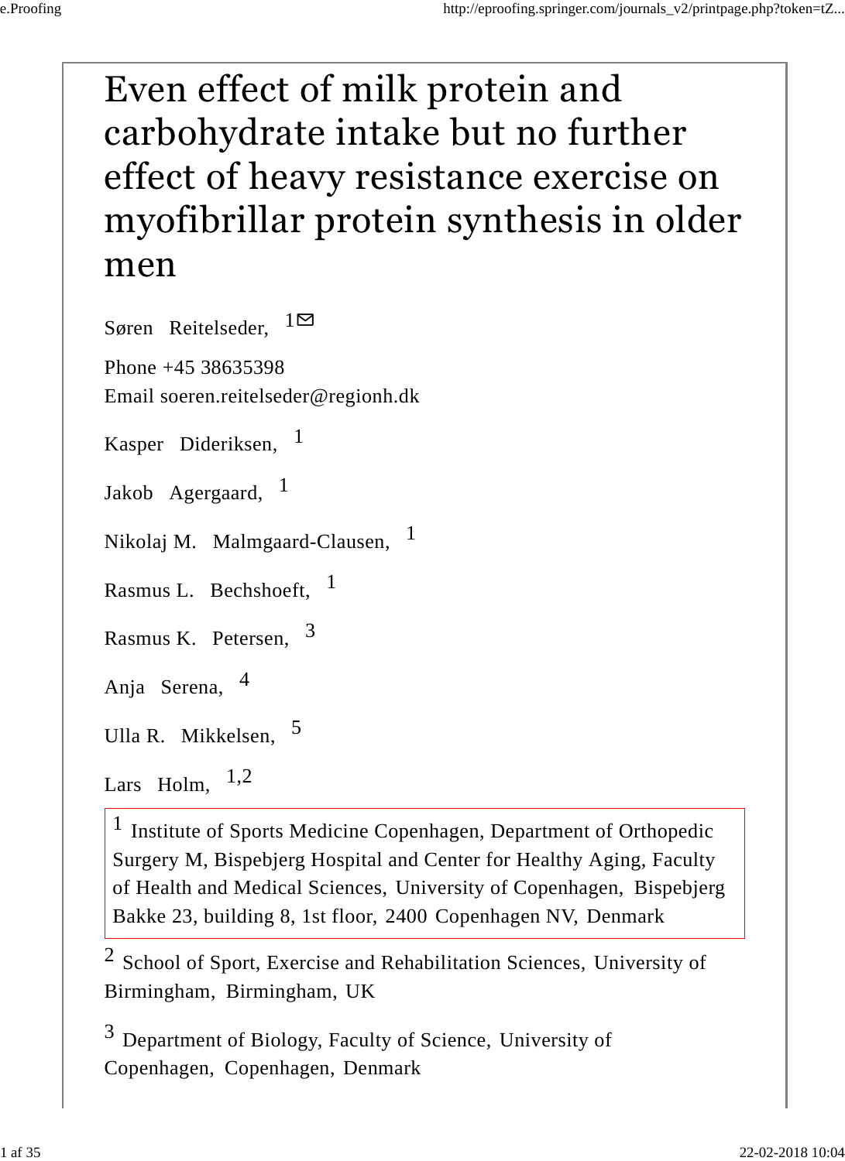# Even effect of milk protein and carbohydrate intake but no further effect of heavy resistance exercise on myofibrillar protein synthesis in older men

Søren Reitelseder,  $1^{\text{O}}$ 

Phone +45 38635398 Email soeren.reitelseder@regionh.dk

Kasper Dideriksen, 1

Jakob Agergaard, <sup>1</sup>

Nikolaj M. Malmgaard-Clausen, <sup>1</sup>

4

Rasmus L. Bechshoeft, <sup>1</sup>

Rasmus K. Petersen, 3

Anja Serena,

Ulla R. Mikkelsen, 5

Lars Holm, 1,2

<sup>1</sup> Institute of Sports Medicine Copenhagen, Department of Orthopedic Surgery M, Bispebjerg Hospital and Center for Healthy Aging, Faculty of Health and Medical Sciences, University of Copenhagen, Bispebjerg Bakke 23, building 8, 1st floor, 2400 Copenhagen NV, Denmark

 $2$  School of Sport, Exercise and Rehabilitation Sciences, University of Birmingham, Birmingham, UK

 $3$  Department of Biology, Faculty of Science, University of Copenhagen, Copenhagen, Denmark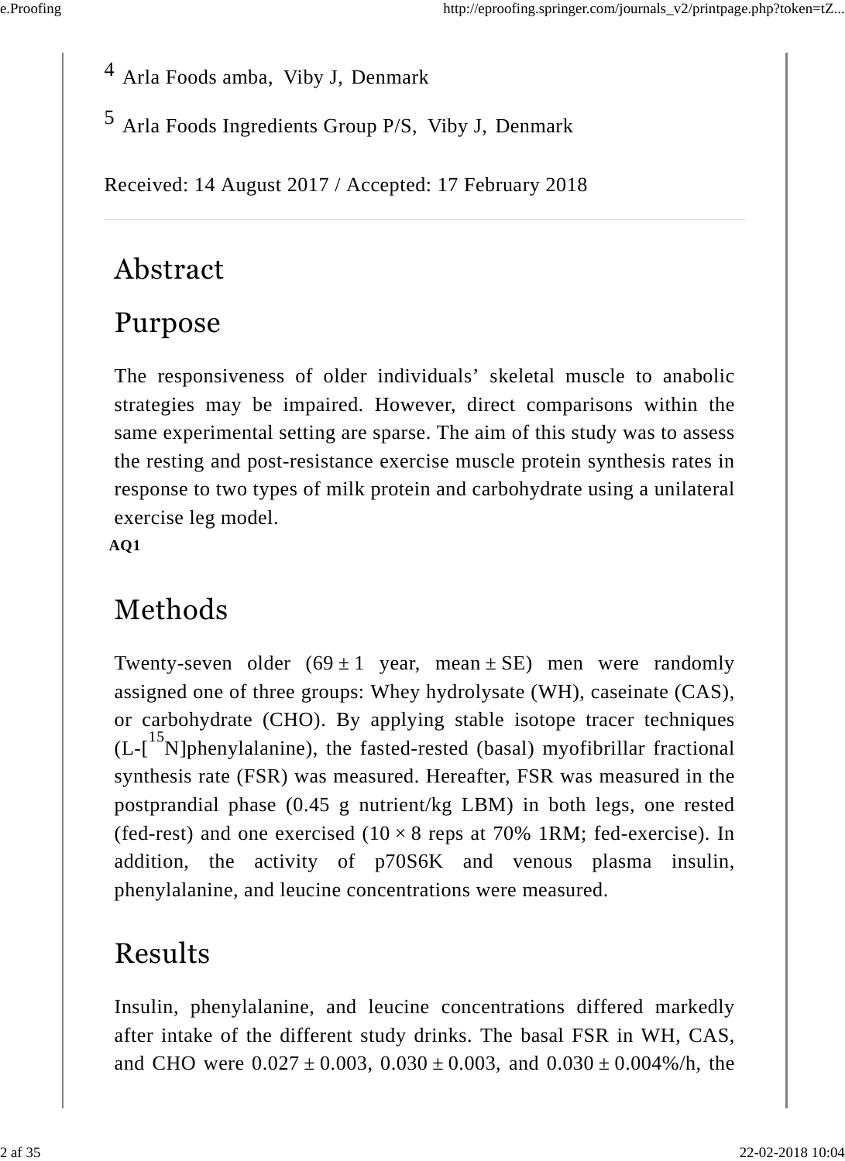<sup>4</sup> Arla Foods amba, Viby J, Denmark

5 Arla Foods Ingredients Group P/S, Viby J, Denmark

Received: 14 August 2017 / Accepted: 17 February 2018

### Abstract

## Purpose

The responsiveness of older individuals' skeletal muscle to anabolic strategies may be impaired. However, direct comparisons within the same experimental setting are sparse. The aim of this study was to assess the resting and post-resistance exercise muscle protein synthesis rates in response to two types of milk protein and carbohydrate using a unilateral exercise leg model.

**AQ1**

## Methods

Twenty-seven older  $(69 \pm 1)$  year, mean  $\pm$  SE) men were randomly assigned one of three groups: Whey hydrolysate (WH), caseinate (CAS), or carbohydrate (CHO). By applying stable isotope tracer techniques  $(L-[15N]$ phenylalanine), the fasted-rested (basal) myofibrillar fractional synthesis rate (FSR) was measured. Hereafter, FSR was measured in the postprandial phase (0.45 g nutrient/kg LBM) in both legs, one rested (fed-rest) and one exercised  $(10 \times 8 \text{ reps at } 70\% \text{ 1RM}$ ; fed-exercise). In addition, the activity of p70S6K and venous plasma insulin, phenylalanine, and leucine concentrations were measured.

### Results

Insulin, phenylalanine, and leucine concentrations differed markedly after intake of the different study drinks. The basal FSR in WH, CAS, and CHO were  $0.027 \pm 0.003$ ,  $0.030 \pm 0.003$ , and  $0.030 \pm 0.004\%$ /h, the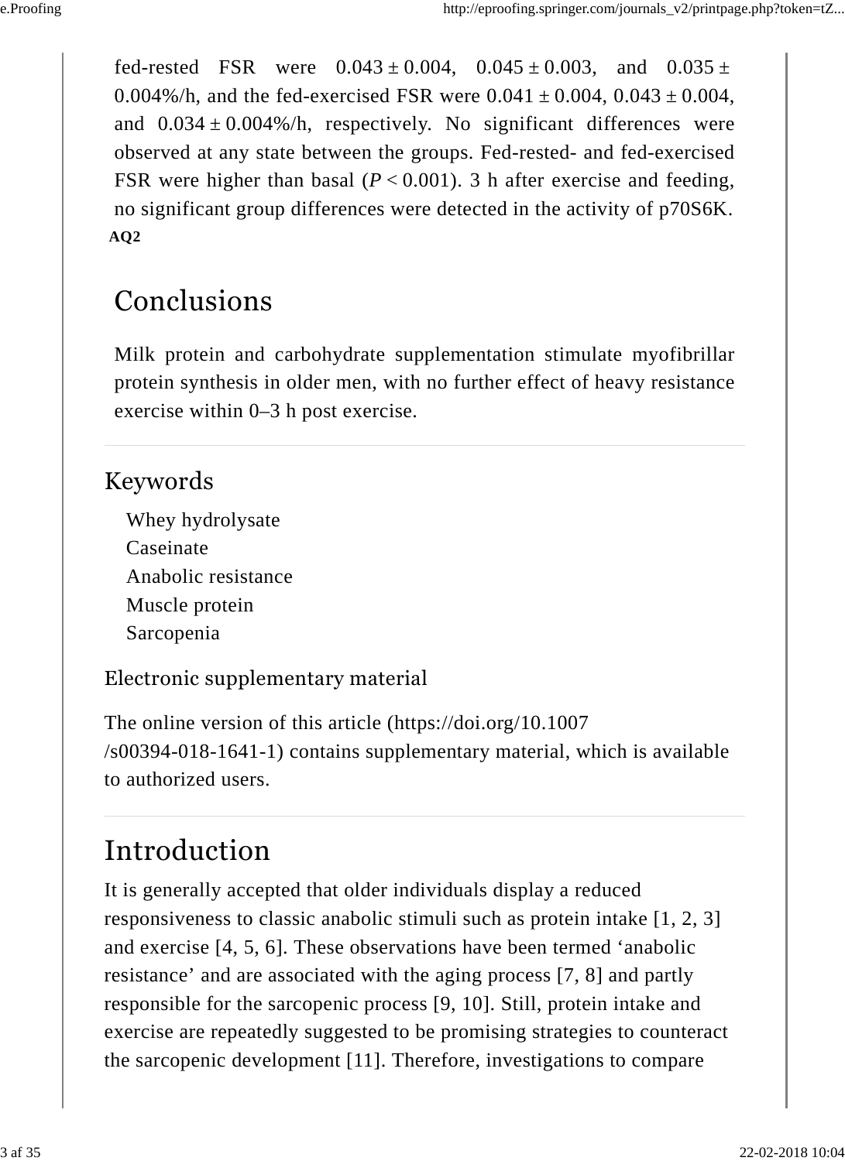fed-rested FSR were  $0.043 \pm 0.004$ ,  $0.045 \pm 0.003$ , and  $0.035 \pm 0.003$ 0.004%/h, and the fed-exercised FSR were  $0.041 \pm 0.004$ ,  $0.043 \pm 0.004$ , and  $0.034 \pm 0.004\%/h$ , respectively. No significant differences were observed at any state between the groups. Fed-rested- and fed-exercised FSR were higher than basal  $(P < 0.001)$ . 3 h after exercise and feeding, no significant group differences were detected in the activity of p70S6K. **AQ2**

### Conclusions

Milk protein and carbohydrate supplementation stimulate myofibrillar protein synthesis in older men, with no further effect of heavy resistance exercise within 0–3 h post exercise.

#### Keywords

Whey hydrolysate Caseinate Anabolic resistance Muscle protein Sarcopenia

Electronic supplementary material

The online version of this article (https://doi.org/10.1007 /s00394-018-1641-1) contains supplementary material, which is available to authorized users.

## Introduction

It is generally accepted that older individuals display a reduced responsiveness to classic anabolic stimuli such as protein intake [1, 2, 3] and exercise [4, 5, 6]. These observations have been termed 'anabolic resistance' and are associated with the aging process [7, 8] and partly responsible for the sarcopenic process [9, 10]. Still, protein intake and exercise are repeatedly suggested to be promising strategies to counteract the sarcopenic development [11]. Therefore, investigations to compare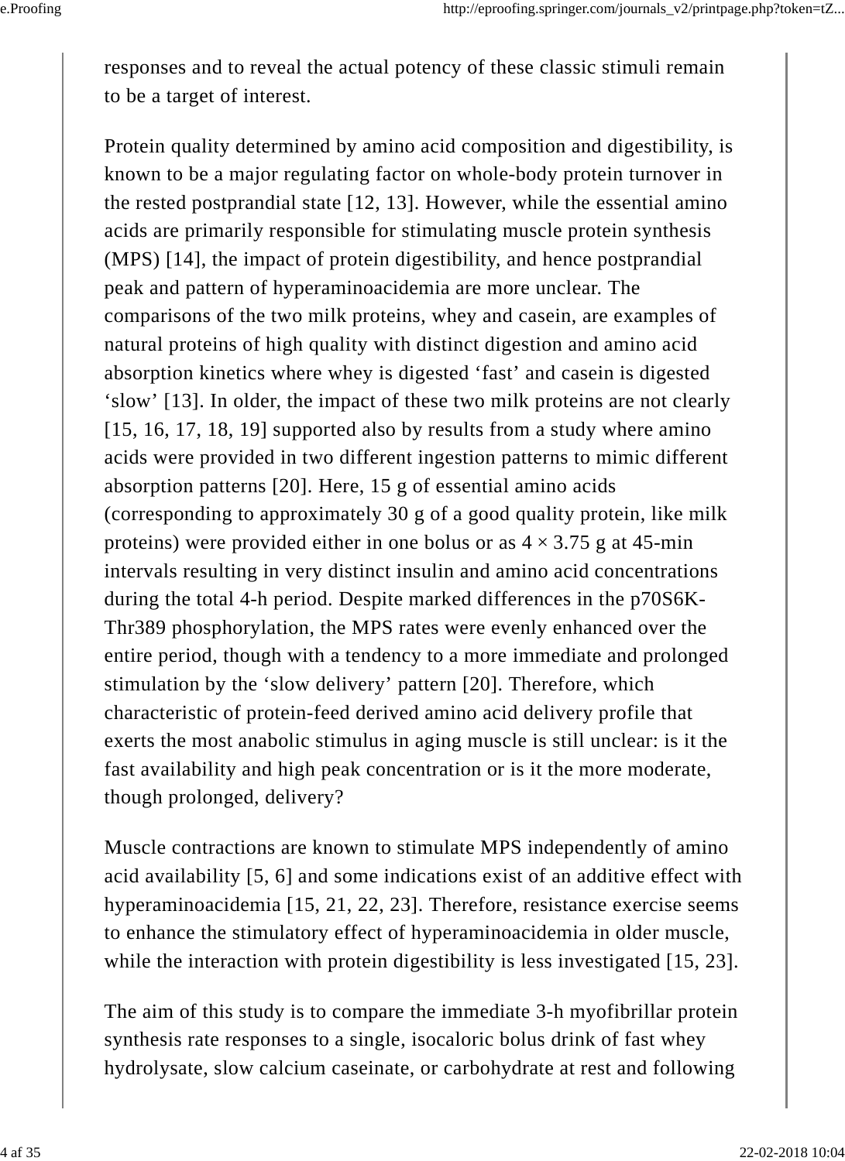responses and to reveal the actual potency of these classic stimuli remain to be a target of interest.

Protein quality determined by amino acid composition and digestibility, is known to be a major regulating factor on whole-body protein turnover in the rested postprandial state [12, 13]. However, while the essential amino acids are primarily responsible for stimulating muscle protein synthesis (MPS) [14], the impact of protein digestibility, and hence postprandial peak and pattern of hyperaminoacidemia are more unclear. The comparisons of the two milk proteins, whey and casein, are examples of natural proteins of high quality with distinct digestion and amino acid absorption kinetics where whey is digested 'fast' and casein is digested 'slow' [13]. In older, the impact of these two milk proteins are not clearly [15, 16, 17, 18, 19] supported also by results from a study where amino acids were provided in two different ingestion patterns to mimic different absorption patterns [20]. Here, 15 g of essential amino acids (corresponding to approximately 30 g of a good quality protein, like milk proteins) were provided either in one bolus or as  $4 \times 3.75$  g at 45-min intervals resulting in very distinct insulin and amino acid concentrations during the total 4-h period. Despite marked differences in the p70S6K-Thr389 phosphorylation, the MPS rates were evenly enhanced over the entire period, though with a tendency to a more immediate and prolonged stimulation by the 'slow delivery' pattern [20]. Therefore, which characteristic of protein-feed derived amino acid delivery profile that exerts the most anabolic stimulus in aging muscle is still unclear: is it the fast availability and high peak concentration or is it the more moderate, though prolonged, delivery?

Muscle contractions are known to stimulate MPS independently of amino acid availability [5, 6] and some indications exist of an additive effect with hyperaminoacidemia [15, 21, 22, 23]. Therefore, resistance exercise seems to enhance the stimulatory effect of hyperaminoacidemia in older muscle, while the interaction with protein digestibility is less investigated [15, 23].

The aim of this study is to compare the immediate 3-h myofibrillar protein synthesis rate responses to a single, isocaloric bolus drink of fast whey hydrolysate, slow calcium caseinate, or carbohydrate at rest and following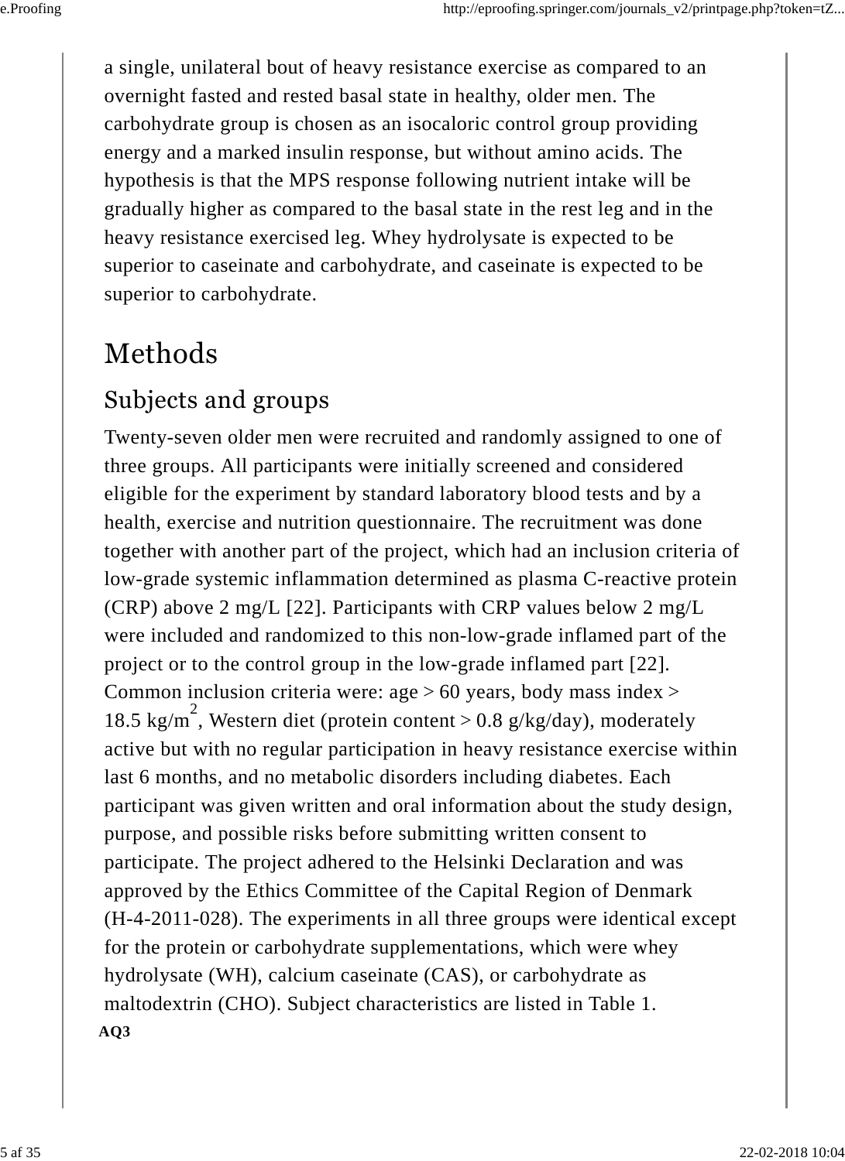a single, unilateral bout of heavy resistance exercise as compared to an overnight fasted and rested basal state in healthy, older men. The carbohydrate group is chosen as an isocaloric control group providing energy and a marked insulin response, but without amino acids. The hypothesis is that the MPS response following nutrient intake will be gradually higher as compared to the basal state in the rest leg and in the heavy resistance exercised leg. Whey hydrolysate is expected to be superior to caseinate and carbohydrate, and caseinate is expected to be superior to carbohydrate.

## Methods

### Subjects and groups

Twenty-seven older men were recruited and randomly assigned to one of three groups. All participants were initially screened and considered eligible for the experiment by standard laboratory blood tests and by a health, exercise and nutrition questionnaire. The recruitment was done together with another part of the project, which had an inclusion criteria of low-grade systemic inflammation determined as plasma C-reactive protein (CRP) above 2 mg/L [22]. Participants with CRP values below 2 mg/L were included and randomized to this non-low-grade inflamed part of the project or to the control group in the low-grade inflamed part [22]. Common inclusion criteria were:  $age > 60$  years, body mass index  $>$ 18.5 kg/m<sup>2</sup>, Western diet (protein content > 0.8 g/kg/day), moderately active but with no regular participation in heavy resistance exercise within last 6 months, and no metabolic disorders including diabetes. Each participant was given written and oral information about the study design, purpose, and possible risks before submitting written consent to participate. The project adhered to the Helsinki Declaration and was approved by the Ethics Committee of the Capital Region of Denmark (H-4-2011-028). The experiments in all three groups were identical except for the protein or carbohydrate supplementations, which were whey hydrolysate (WH), calcium caseinate (CAS), or carbohydrate as maltodextrin (CHO). Subject characteristics are listed in Table 1. **AQ3**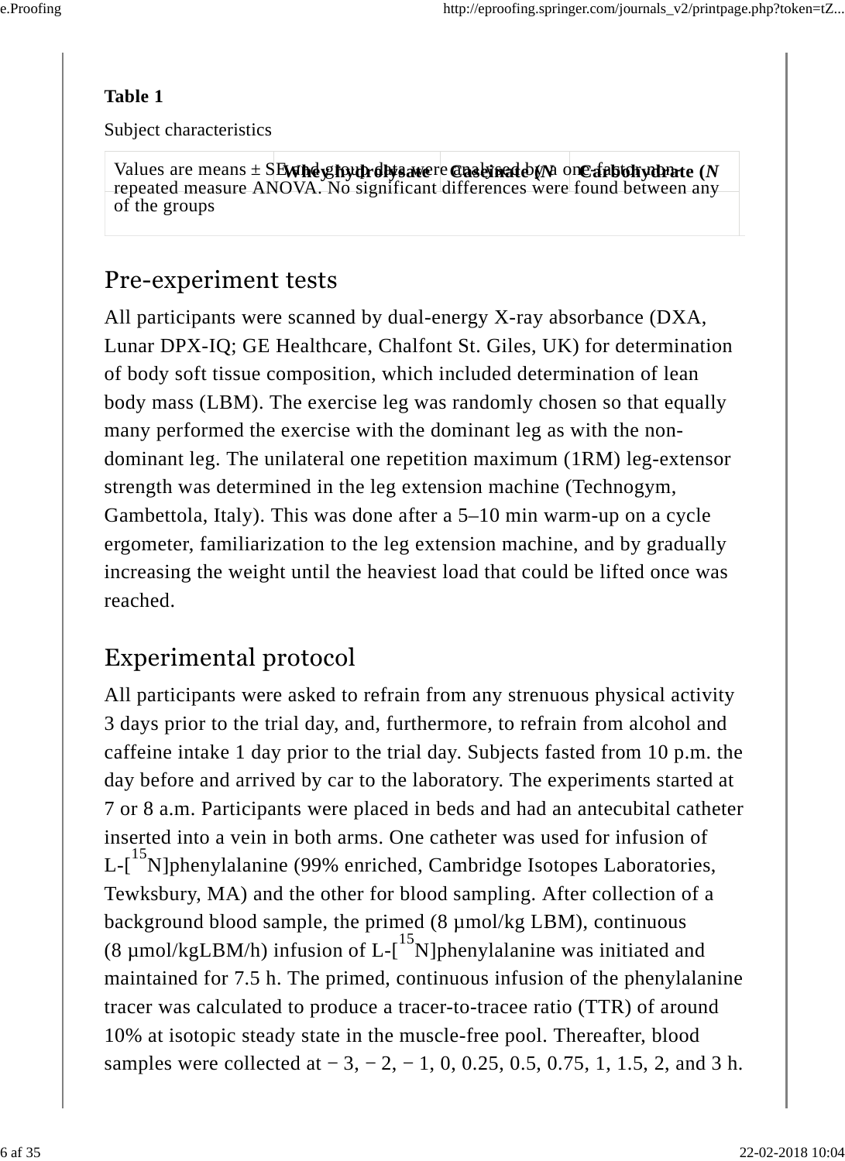#### **Table 1**

Subject characteristics

 $V$ alues are means  $\pm$  S**EWhey hydrolysate** re **Caseinate** (*N* one fabtohydrate (*N* repeated measure ANOVA. No significant differences were found between any of the groups

#### Pre-experiment tests

All participants were scanned by dual-energy X-ray absorbance (DXA, Lunar DPX-IQ; GE Healthcare, Chalfont St. Giles, UK) for determination of body soft tissue composition, which included determination of lean body mass (LBM). The exercise leg was randomly chosen so that equally many performed the exercise with the dominant leg as with the nondominant leg. The unilateral one repetition maximum (1RM) leg-extensor strength was determined in the leg extension machine (Technogym, Gambettola, Italy). This was done after a 5–10 min warm-up on a cycle ergometer, familiarization to the leg extension machine, and by gradually increasing the weight until the heaviest load that could be lifted once was reached.

### Experimental protocol

All participants were asked to refrain from any strenuous physical activity 3 days prior to the trial day, and, furthermore, to refrain from alcohol and caffeine intake 1 day prior to the trial day. Subjects fasted from 10 p.m. the day before and arrived by car to the laboratory. The experiments started at 7 or 8 a.m. Participants were placed in beds and had an antecubital catheter inserted into a vein in both arms. One catheter was used for infusion of L-[<sup>15</sup>N]phenylalanine (99% enriched, Cambridge Isotopes Laboratories, Tewksbury, MA) and the other for blood sampling. After collection of a background blood sample, the primed (8 µmol/kg LBM), continuous (8  $\mu$ mol/kgLBM/h) infusion of L-[<sup>15</sup>N]phenylalanine was initiated and maintained for 7.5 h. The primed, continuous infusion of the phenylalanine tracer was calculated to produce a tracer-to-tracee ratio (TTR) of around 10% at isotopic steady state in the muscle-free pool. Thereafter, blood samples were collected at  $-3, -2, -1, 0, 0.25, 0.5, 0.75, 1, 1.5, 2,$  and 3 h.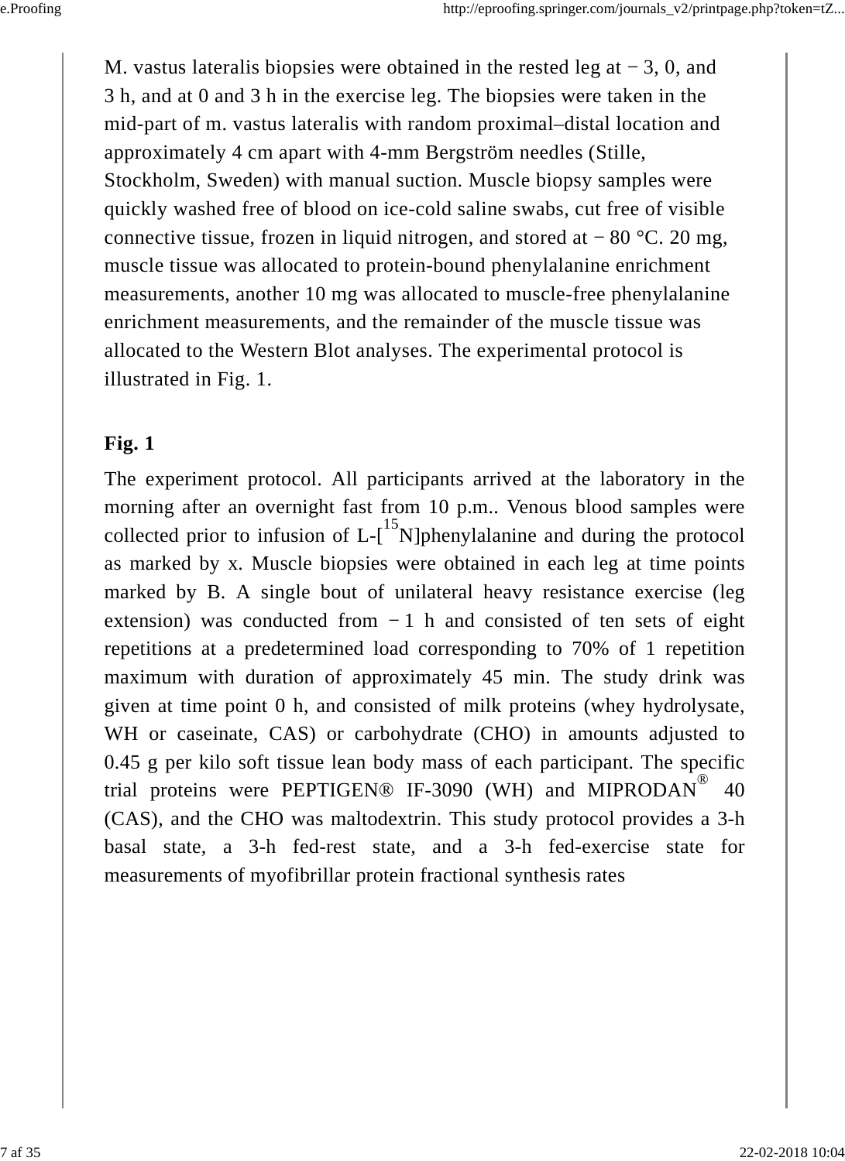M. vastus lateralis biopsies were obtained in the rested leg at  $-3$ , 0, and 3 h, and at 0 and 3 h in the exercise leg. The biopsies were taken in the mid-part of m. vastus lateralis with random proximal–distal location and approximately 4 cm apart with 4-mm Bergström needles (Stille, Stockholm, Sweden) with manual suction. Muscle biopsy samples were quickly washed free of blood on ice-cold saline swabs, cut free of visible connective tissue, frozen in liquid nitrogen, and stored at  $-80$  °C. 20 mg, muscle tissue was allocated to protein-bound phenylalanine enrichment measurements, another 10 mg was allocated to muscle-free phenylalanine enrichment measurements, and the remainder of the muscle tissue was allocated to the Western Blot analyses. The experimental protocol is illustrated in Fig. 1.

#### **Fig. 1**

The experiment protocol. All participants arrived at the laboratory in the morning after an overnight fast from 10 p.m.. Venous blood samples were collected prior to infusion of  $L$ - $\left[ {}^{15}N \right]$ phenylalanine and during the protocol as marked by x. Muscle biopsies were obtained in each leg at time points marked by B. A single bout of unilateral heavy resistance exercise (leg extension) was conducted from  $-1$  h and consisted of ten sets of eight repetitions at a predetermined load corresponding to 70% of 1 repetition maximum with duration of approximately 45 min. The study drink was given at time point 0 h, and consisted of milk proteins (whey hydrolysate, WH or caseinate, CAS) or carbohydrate (CHO) in amounts adjusted to 0.45 g per kilo soft tissue lean body mass of each participant. The specific trial proteins were PEPTIGEN® IF-3090 (WH) and MIPRODAN<sup>®</sup> 40 (CAS), and the CHO was maltodextrin. This study protocol provides a 3-h basal state, a 3-h fed-rest state, and a 3-h fed-exercise state for measurements of myofibrillar protein fractional synthesis rates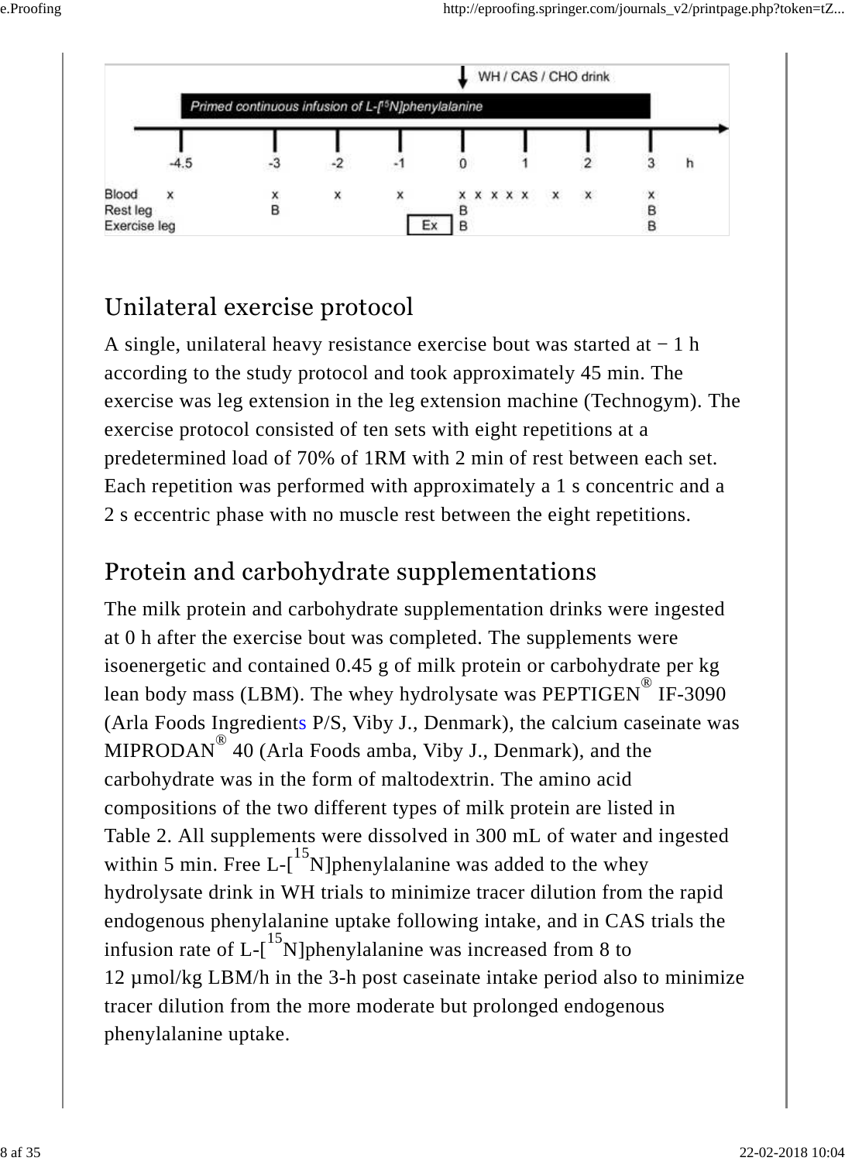

### Unilateral exercise protocol

A single, unilateral heavy resistance exercise bout was started at − 1 h according to the study protocol and took approximately 45 min. The exercise was leg extension in the leg extension machine (Technogym). The exercise protocol consisted of ten sets with eight repetitions at a predetermined load of 70% of 1RM with 2 min of rest between each set. Each repetition was performed with approximately a 1 s concentric and a 2 s eccentric phase with no muscle rest between the eight repetitions.

#### Protein and carbohydrate supplementations

The milk protein and carbohydrate supplementation drinks were ingested at 0 h after the exercise bout was completed. The supplements were isoenergetic and contained 0.45 g of milk protein or carbohydrate per kg lean body mass (LBM). The whey hydrolysate was PEPTIGEN<sup>®</sup> IF-3090 (Arla Foods Ingredients P/S, Viby J., Denmark), the calcium caseinate was MIPRODAN<sup>®</sup> 40 (Arla Foods amba, Viby J., Denmark), and the carbohydrate was in the form of maltodextrin. The amino acid compositions of the two different types of milk protein are listed in Table 2. All supplements were dissolved in 300 mL of water and ingested within 5 min. Free L- $\left[ \begin{array}{c} 15 \\ 1 \end{array} \right]$  min. Free L- $\left[ \begin{array}{c} 15 \\ 1 \end{array} \right]$  min below was added to the whey hydrolysate drink in WH trials to minimize tracer dilution from the rapid endogenous phenylalanine uptake following intake, and in CAS trials the infusion rate of  $L$ - $\left[ {}^{15}N \right]$ phenylalanine was increased from 8 to 12 µmol/kg LBM/h in the 3-h post caseinate intake period also to minimize tracer dilution from the more moderate but prolonged endogenous phenylalanine uptake.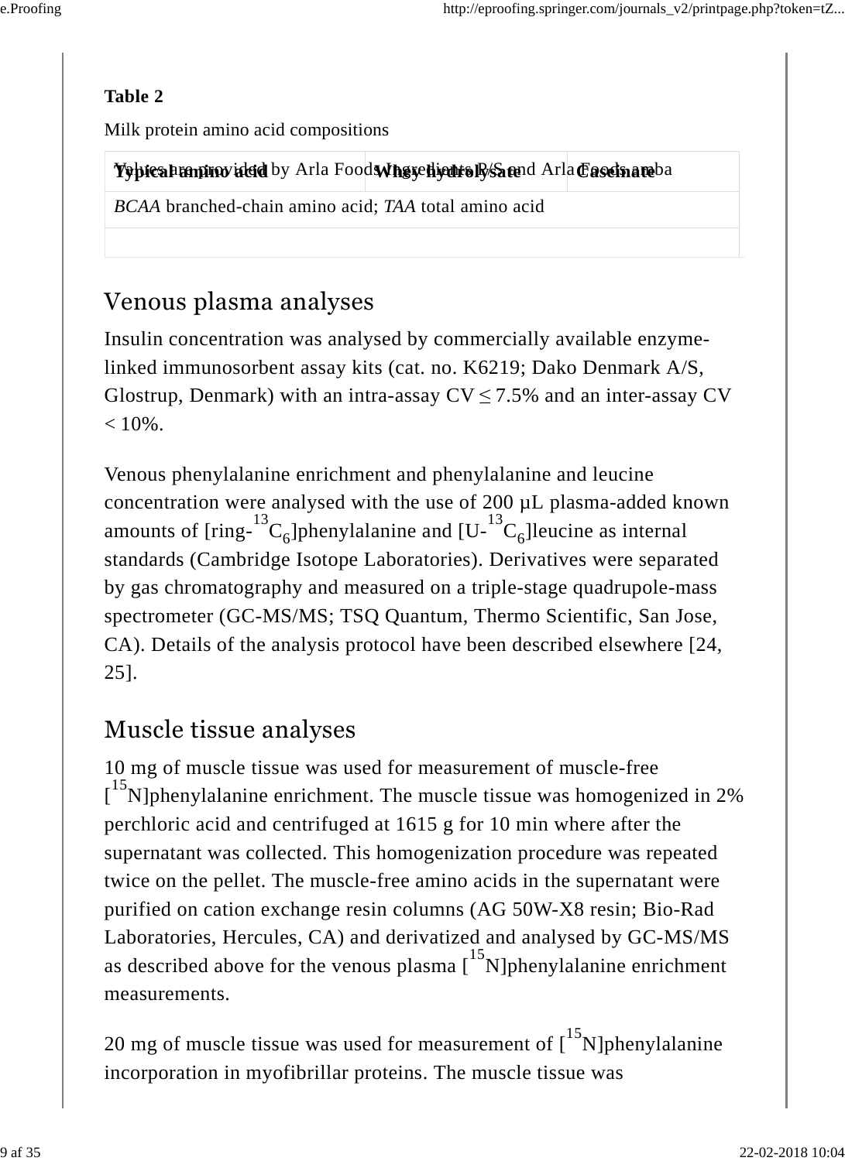#### **Table 2**

Milk protein amino acid compositions

**Tepical amino acid by Arla Foods Nhere light and Arla Caseinate** ba

*BCAA* branched-chain amino acid; *TAA* total amino acid

### Venous plasma analyses

Insulin concentration was analysed by commercially available enzymelinked immunosorbent assay kits (cat. no. K6219; Dako Denmark A/S, Glostrup, Denmark) with an intra-assay  $CV \le 7.5\%$  and an inter-assay CV  $< 10\%$ .

Venous phenylalanine enrichment and phenylalanine and leucine concentration were analysed with the use of 200 µL plasma-added known amounts of [ring- ${}^{13}C_6$ ]phenylalanine and [U- ${}^{13}C_6$ ]leucine as internal standards (Cambridge Isotope Laboratories). Derivatives were separated by gas chromatography and measured on a triple-stage quadrupole-mass spectrometer (GC-MS/MS; TSQ Quantum, Thermo Scientific, San Jose, CA). Details of the analysis protocol have been described elsewhere [24, 25]. 6 13 6

### Muscle tissue analyses

10 mg of muscle tissue was used for measurement of muscle-free  $\int_0^{15}$ N]phenylalanine enrichment. The muscle tissue was homogenized in 2% perchloric acid and centrifuged at 1615 g for 10 min where after the supernatant was collected. This homogenization procedure was repeated twice on the pellet. The muscle-free amino acids in the supernatant were purified on cation exchange resin columns (AG 50W-X8 resin; Bio-Rad Laboratories, Hercules, CA) and derivatized and analysed by GC-MS/MS as described above for the venous plasma  $\left[1\right]^{15}$ N]phenylalanine enrichment measurements.

20 mg of muscle tissue was used for measurement of  $\binom{15}{1}$ N]phenylalanine incorporation in myofibrillar proteins. The muscle tissue was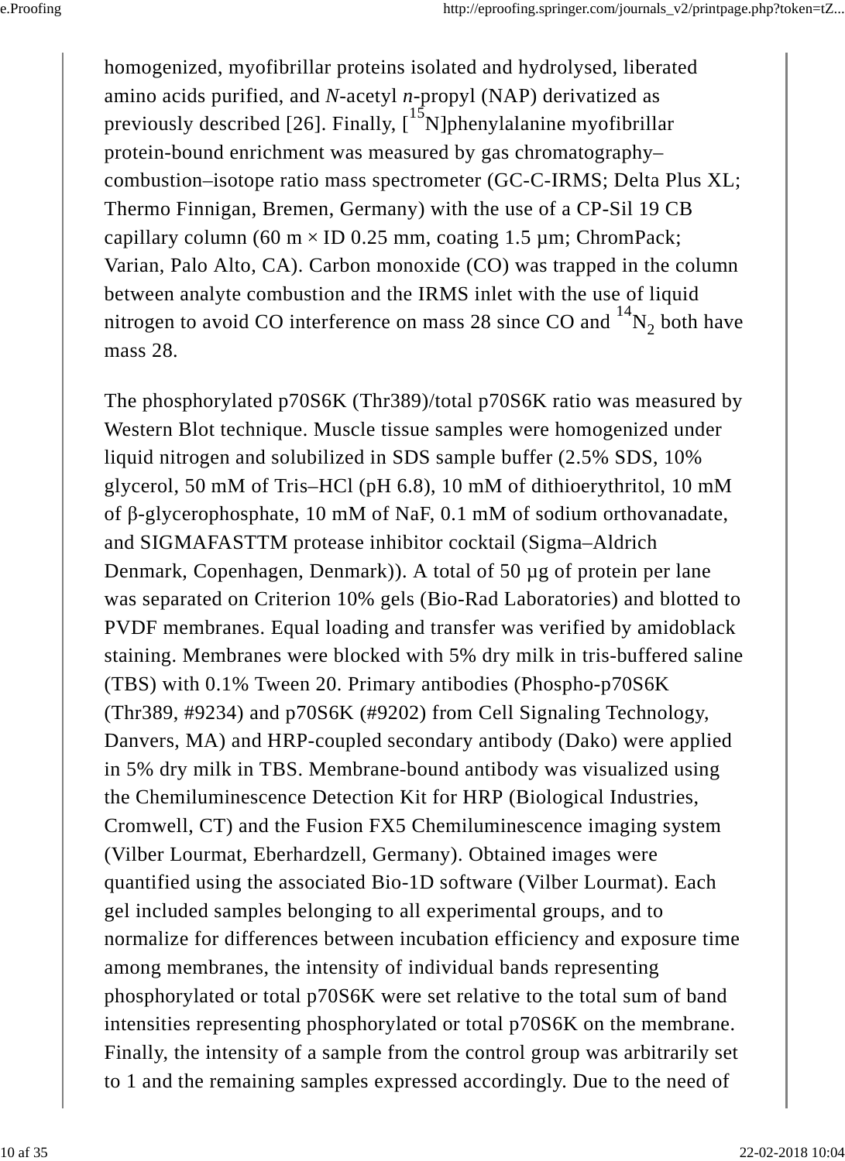homogenized, myofibrillar proteins isolated and hydrolysed, liberated amino acids purified, and *N*-acetyl *n*-propyl (NAP) derivatized as previously described [26]. Finally,  $\int_{0}^{15} N$ ]phenylalanine myofibrillar protein-bound enrichment was measured by gas chromatography– combustion–isotope ratio mass spectrometer (GC-C-IRMS; Delta Plus XL; Thermo Finnigan, Bremen, Germany) with the use of a CP-Sil 19 CB capillary column (60 m  $\times$  ID 0.25 mm, coating 1.5 µm; ChromPack; Varian, Palo Alto, CA). Carbon monoxide (CO) was trapped in the column between analyte combustion and the IRMS inlet with the use of liquid nitrogen to avoid CO interference on mass 28 since CO and  ${}^{14}N_2$  both have mass 28. 2

The phosphorylated p70S6K (Thr389)/total p70S6K ratio was measured by Western Blot technique. Muscle tissue samples were homogenized under liquid nitrogen and solubilized in SDS sample buffer (2.5% SDS, 10% glycerol, 50 mM of Tris–HCl (pH 6.8), 10 mM of dithioerythritol, 10 mM of β-glycerophosphate, 10 mM of NaF, 0.1 mM of sodium orthovanadate, and SIGMAFASTTM protease inhibitor cocktail (Sigma–Aldrich Denmark, Copenhagen, Denmark)). A total of 50 µg of protein per lane was separated on Criterion 10% gels (Bio-Rad Laboratories) and blotted to PVDF membranes. Equal loading and transfer was verified by amidoblack staining. Membranes were blocked with 5% dry milk in tris-buffered saline (TBS) with 0.1% Tween 20. Primary antibodies (Phospho-p70S6K (Thr389, #9234) and p70S6K (#9202) from Cell Signaling Technology, Danvers, MA) and HRP-coupled secondary antibody (Dako) were applied in 5% dry milk in TBS. Membrane-bound antibody was visualized using the Chemiluminescence Detection Kit for HRP (Biological Industries, Cromwell, CT) and the Fusion FX5 Chemiluminescence imaging system (Vilber Lourmat, Eberhardzell, Germany). Obtained images were quantified using the associated Bio-1D software (Vilber Lourmat). Each gel included samples belonging to all experimental groups, and to normalize for differences between incubation efficiency and exposure time among membranes, the intensity of individual bands representing phosphorylated or total p70S6K were set relative to the total sum of band intensities representing phosphorylated or total p70S6K on the membrane. Finally, the intensity of a sample from the control group was arbitrarily set to 1 and the remaining samples expressed accordingly. Due to the need of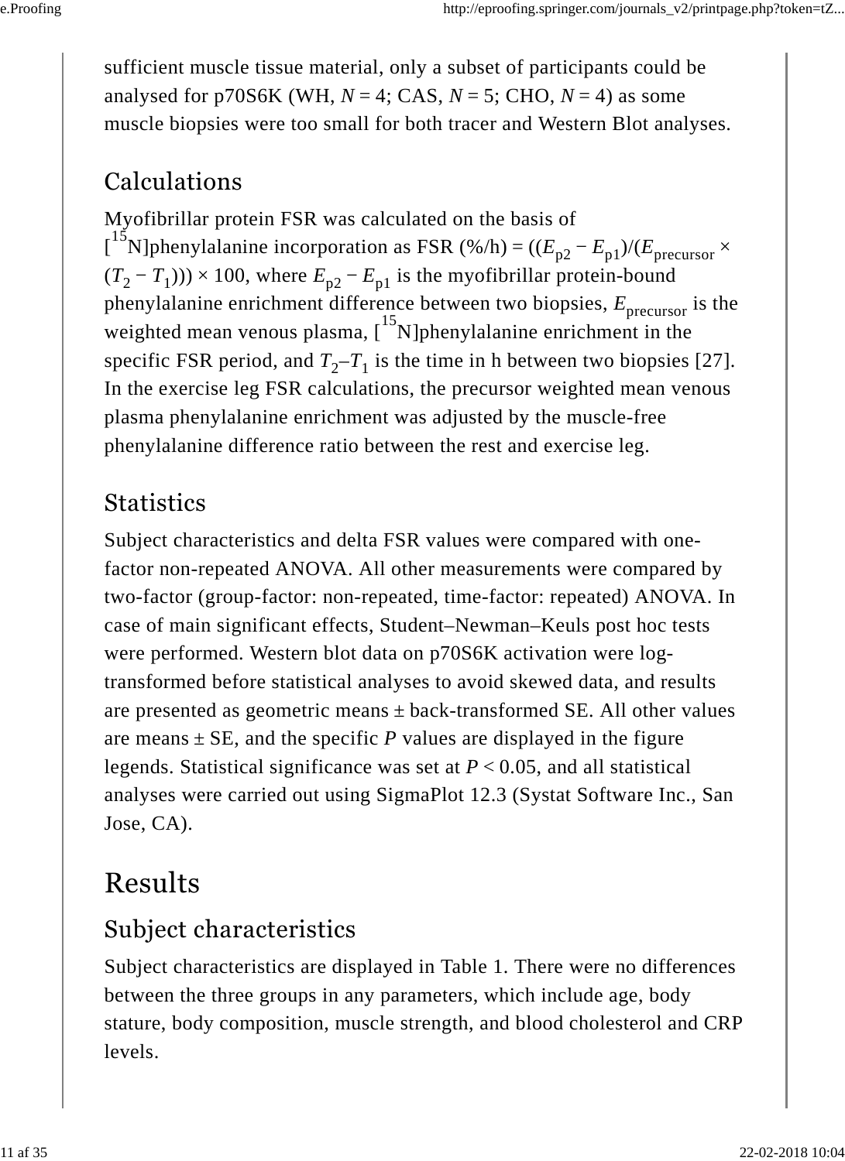sufficient muscle tissue material, only a subset of participants could be analysed for p70S6K (WH,  $N = 4$ ; CAS,  $N = 5$ ; CHO,  $N = 4$ ) as some muscle biopsies were too small for both tracer and Western Blot analyses.

### Calculations

Myofibrillar protein FSR was calculated on the basis of  $\int_0^{15} N$ ]phenylalanine incorporation as FSR (%/h) =  $((E_{n2} - E_{n1})/(E_{precurser} \times$  $(T_2 - T_1)$ ) × 100, where  $E_{p2} - E_{p1}$  is the myofibrillar protein-bound phenylalanine enrichment difference between two biopsies,  $E_{\text{precurso}}$  is the weighted mean venous plasma, [<sup>13</sup>N]phenylalanine enrichment in the specific FSR period, and  $T_2 - T_1$  is the time in h between two biopsies [27]. In the exercise leg FSR calculations, the precursor weighted mean venous plasma phenylalanine enrichment was adjusted by the muscle-free phenylalanine difference ratio between the rest and exercise leg.  $p2 - E_{p1}$ / $\left| \right|$  precursor precursor <sup>15</sup>

#### **Statistics**

Subject characteristics and delta FSR values were compared with onefactor non-repeated ANOVA. All other measurements were compared by two-factor (group-factor: non-repeated, time-factor: repeated) ANOVA. In case of main significant effects, Student–Newman–Keuls post hoc tests were performed. Western blot data on p70S6K activation were logtransformed before statistical analyses to avoid skewed data, and results are presented as geometric means  $\pm$  back-transformed SE. All other values are means  $\pm$  SE, and the specific *P* values are displayed in the figure legends. Statistical significance was set at *P* < 0.05, and all statistical analyses were carried out using SigmaPlot 12.3 (Systat Software Inc., San Jose, CA).

## Results

#### Subject characteristics

Subject characteristics are displayed in Table 1. There were no differences between the three groups in any parameters, which include age, body stature, body composition, muscle strength, and blood cholesterol and CRP levels.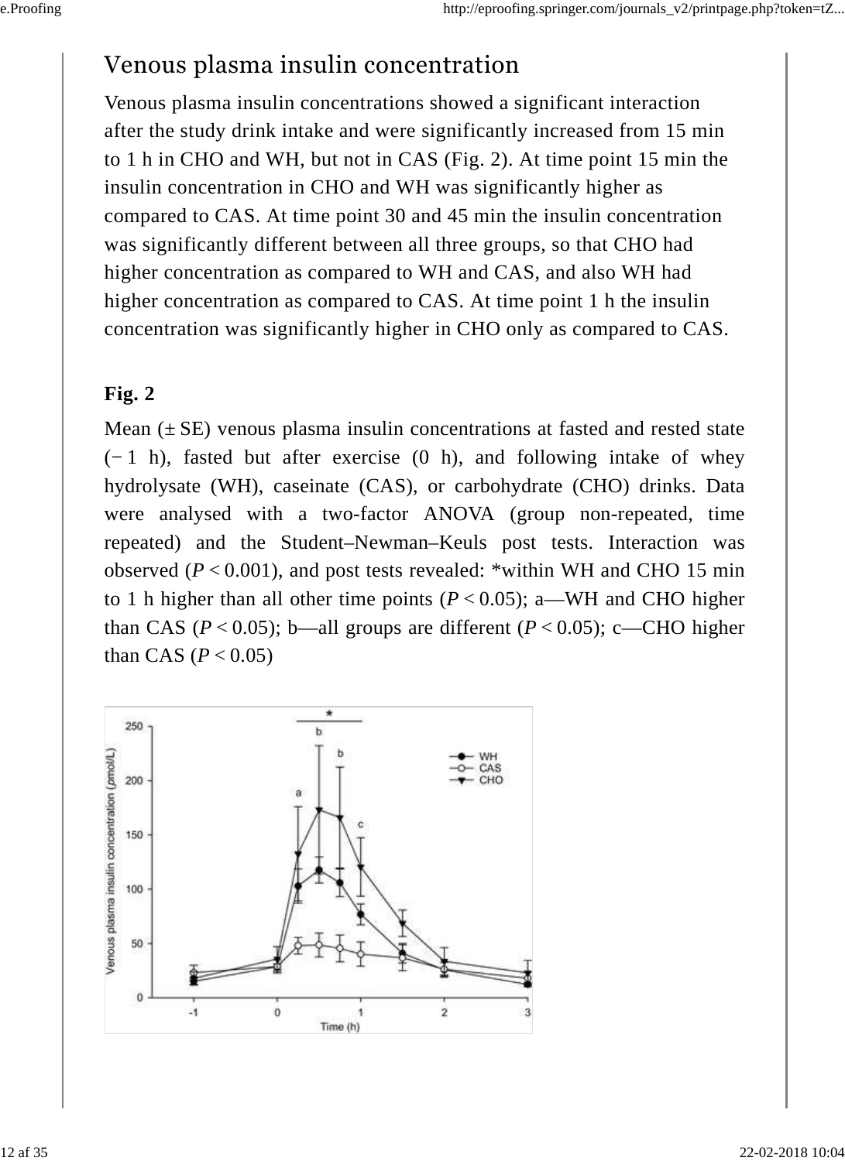#### Venous plasma insulin concentration

Venous plasma insulin concentrations showed a significant interaction after the study drink intake and were significantly increased from 15 min to 1 h in CHO and WH, but not in CAS (Fig. 2). At time point 15 min the insulin concentration in CHO and WH was significantly higher as compared to CAS. At time point 30 and 45 min the insulin concentration was significantly different between all three groups, so that CHO had higher concentration as compared to WH and CAS, and also WH had higher concentration as compared to CAS. At time point 1 h the insulin concentration was significantly higher in CHO only as compared to CAS.

#### **Fig. 2**

Mean  $(\pm SE)$  venous plasma insulin concentrations at fasted and rested state (− 1 h), fasted but after exercise (0 h), and following intake of whey hydrolysate (WH), caseinate (CAS), or carbohydrate (CHO) drinks. Data were analysed with a two-factor ANOVA (group non-repeated, time repeated) and the Student–Newman–Keuls post tests. Interaction was observed  $(P < 0.001)$ , and post tests revealed: \*within WH and CHO 15 min to 1 h higher than all other time points  $(P < 0.05)$ ; a—WH and CHO higher than CAS ( $P < 0.05$ ); b—all groups are different ( $P < 0.05$ ); c—CHO higher than CAS ( $P < 0.05$ )

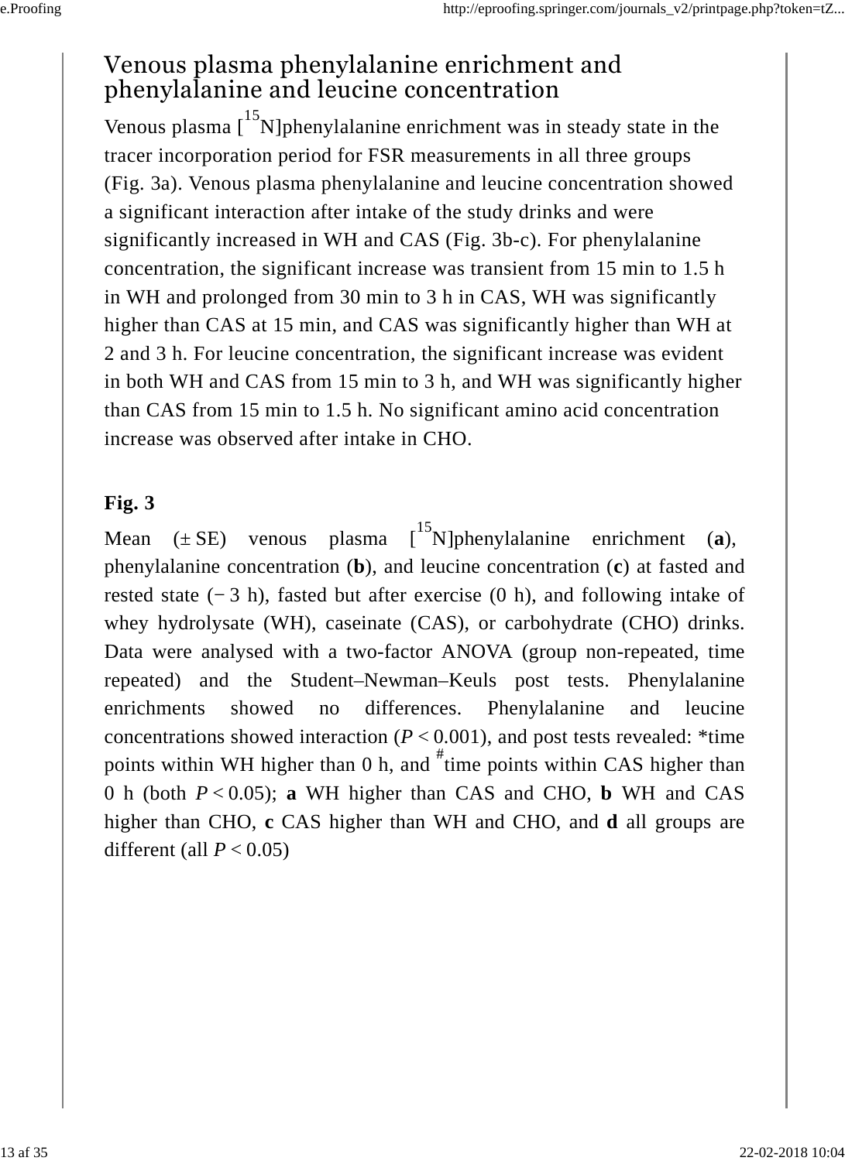#### Venous plasma phenylalanine enrichment and phenylalanine and leucine concentration

Venous plasma  $\left[15N\right]$ phenylalanine enrichment was in steady state in the tracer incorporation period for FSR measurements in all three groups (Fig. 3a). Venous plasma phenylalanine and leucine concentration showed a significant interaction after intake of the study drinks and were significantly increased in WH and CAS (Fig. 3b-c). For phenylalanine concentration, the significant increase was transient from 15 min to 1.5 h in WH and prolonged from 30 min to 3 h in CAS, WH was significantly higher than CAS at 15 min, and CAS was significantly higher than WH at 2 and 3 h. For leucine concentration, the significant increase was evident in both WH and CAS from 15 min to 3 h, and WH was significantly higher than CAS from 15 min to 1.5 h. No significant amino acid concentration increase was observed after intake in CHO.

#### **Fig. 3**

Mean  $(\pm SE)$  venous plasma  $\begin{bmatrix} 15 \\ 15 \end{bmatrix}$  phenylalanine enrichment (a), phenylalanine concentration (**b**), and leucine concentration (**c**) at fasted and rested state (− 3 h), fasted but after exercise (0 h), and following intake of whey hydrolysate (WH), caseinate (CAS), or carbohydrate (CHO) drinks. Data were analysed with a two-factor ANOVA (group non-repeated, time repeated) and the Student–Newman–Keuls post tests. Phenylalanine enrichments showed no differences. Phenylalanine and leucine concentrations showed interaction  $(P < 0.001)$ , and post tests revealed: \*time points within WH higher than 0 h, and  $\overline{f}$  time points within CAS higher than 0 h (both *P* < 0.05); **a** WH higher than CAS and CHO, **b** WH and CAS higher than CHO, **c** CAS higher than WH and CHO, and **d** all groups are different (all  $P < 0.05$ )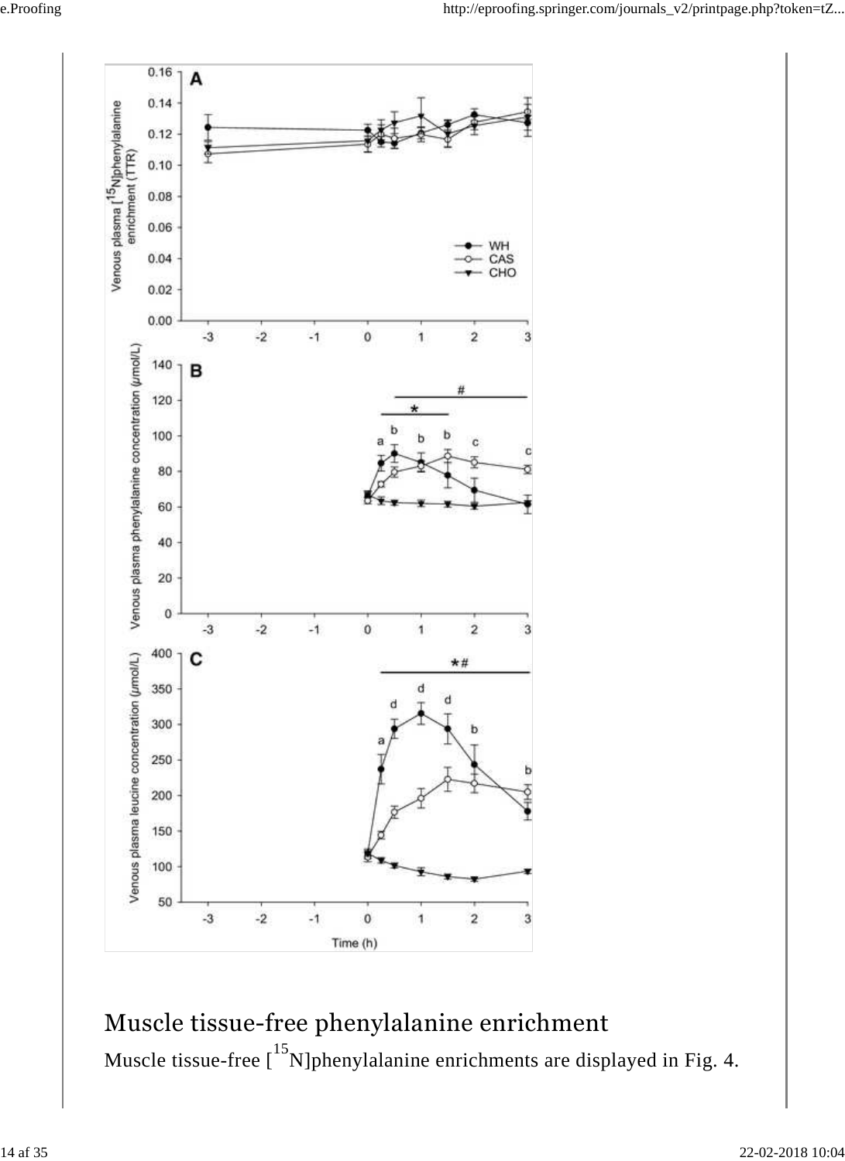

Muscle tissue-free phenylalanine enrichment Muscle tissue-free  $\left[15\text{N}\right]$ phenylalanine enrichments are displayed in Fig. 4.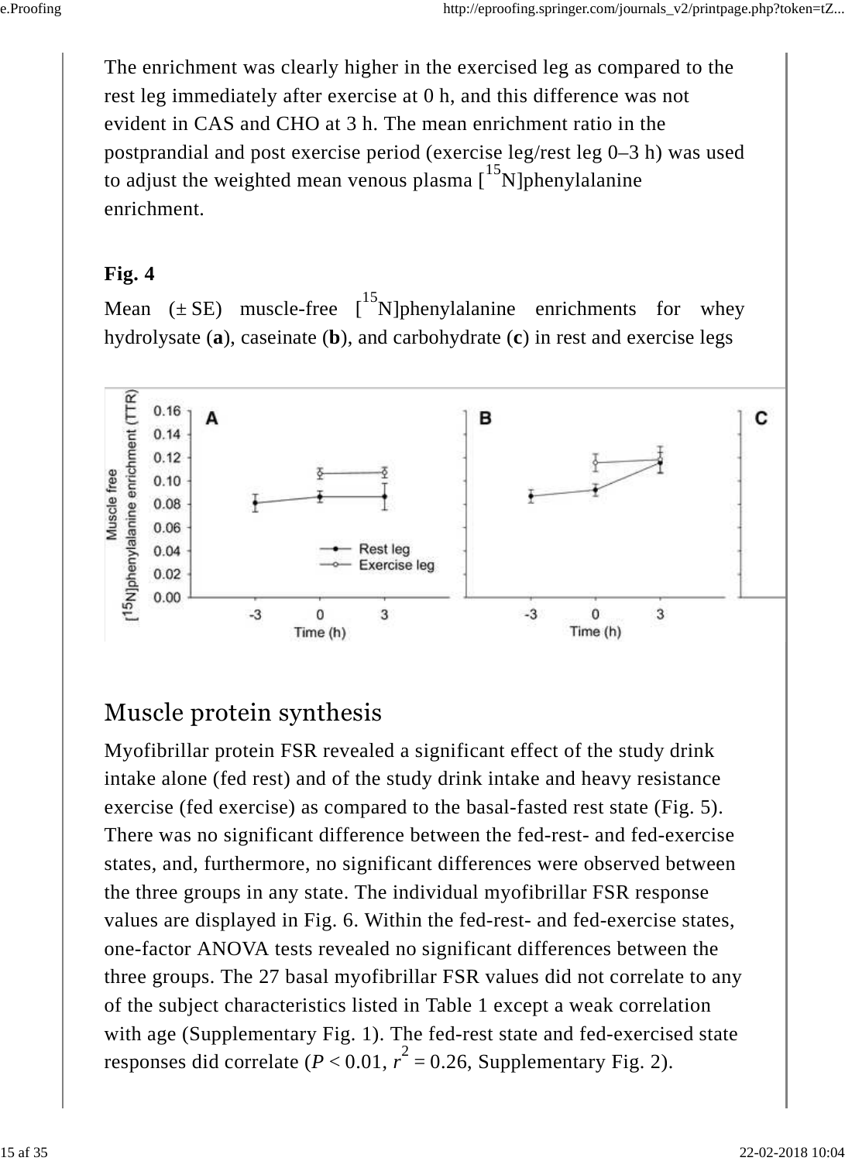The enrichment was clearly higher in the exercised leg as compared to the rest leg immediately after exercise at 0 h, and this difference was not evident in CAS and CHO at 3 h. The mean enrichment ratio in the postprandial and post exercise period (exercise leg/rest leg 0–3 h) was used to adjust the weighted mean venous plasma  $\int_{0}^{15} N$ ]phenylalanine enrichment.

#### **Fig. 4**

Mean ( $\pm$  SE) muscle-free  $\int_{0}^{15} N$ ]phenylalanine enrichments for whey hydrolysate (**a**), caseinate (**b**), and carbohydrate (**c**) in rest and exercise legs



#### Muscle protein synthesis

Myofibrillar protein FSR revealed a significant effect of the study drink intake alone (fed rest) and of the study drink intake and heavy resistance exercise (fed exercise) as compared to the basal-fasted rest state (Fig. 5). There was no significant difference between the fed-rest- and fed-exercise states, and, furthermore, no significant differences were observed between the three groups in any state. The individual myofibrillar FSR response values are displayed in Fig. 6. Within the fed-rest- and fed-exercise states, one-factor ANOVA tests revealed no significant differences between the three groups. The 27 basal myofibrillar FSR values did not correlate to any of the subject characteristics listed in Table 1 except a weak correlation with age (Supplementary Fig. 1). The fed-rest state and fed-exercised state responses did correlate  $(P < 0.01, r^2 = 0.26$ , Supplementary Fig. 2).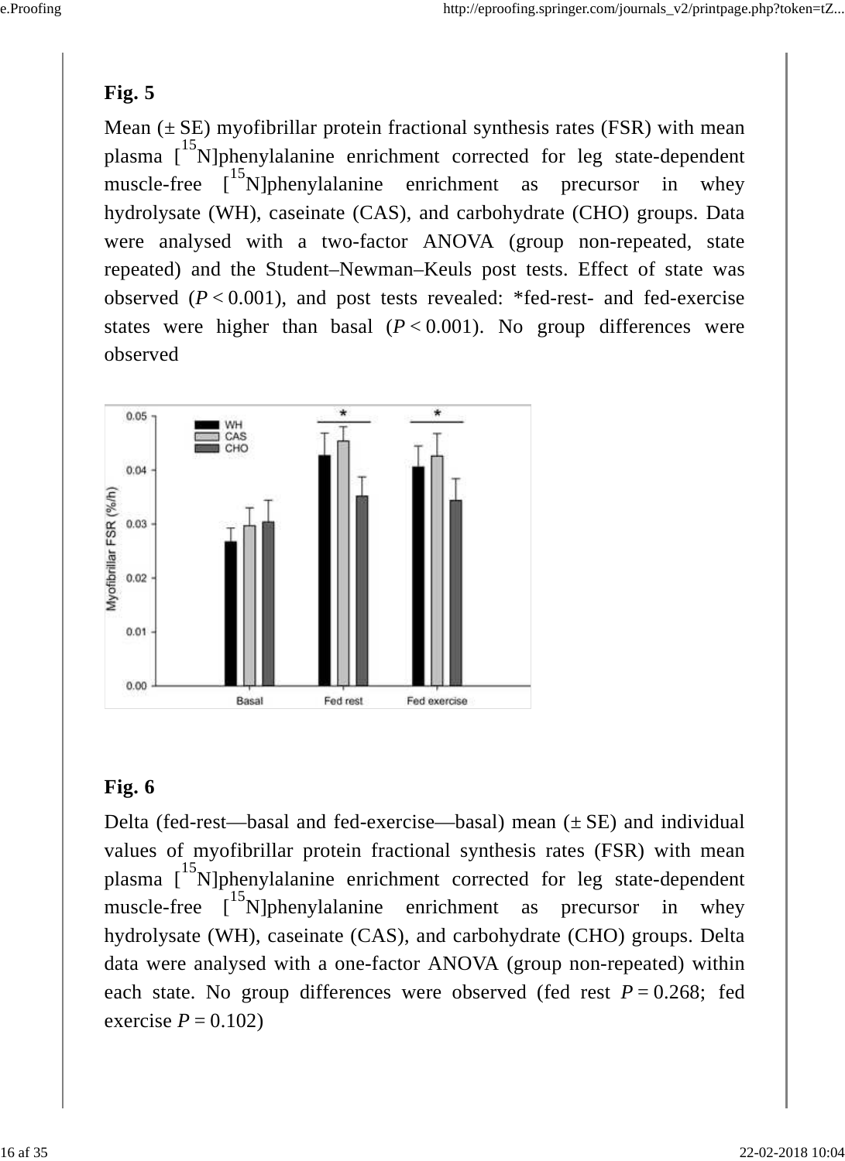#### **Fig. 5**

Mean  $(\pm SE)$  myofibrillar protein fractional synthesis rates (FSR) with mean plasma [<sup>15</sup>N]phenylalanine enrichment corrected for leg state-dependent muscle-free  $\begin{bmatrix} 15 \\ 15 \end{bmatrix}$  phenylalanine enrichment as precursor in whey hydrolysate (WH), caseinate (CAS), and carbohydrate (CHO) groups. Data were analysed with a two-factor ANOVA (group non-repeated, state repeated) and the Student–Newman–Keuls post tests. Effect of state was observed  $(P < 0.001)$ , and post tests revealed: \*fed-rest- and fed-exercise states were higher than basal  $(P < 0.001)$ . No group differences were observed



#### **Fig. 6**

Delta (fed-rest—basal and fed-exercise—basal) mean  $(\pm SE)$  and individual values of myofibrillar protein fractional synthesis rates (FSR) with mean plasma [<sup>15</sup>N]phenylalanine enrichment corrected for leg state-dependent muscle-free [<sup>15</sup>N]phenylalanine enrichment as precursor in whey hydrolysate (WH), caseinate (CAS), and carbohydrate (CHO) groups. Delta data were analysed with a one-factor ANOVA (group non-repeated) within each state. No group differences were observed (fed rest  $P = 0.268$ ; fed exercise  $P = 0.102$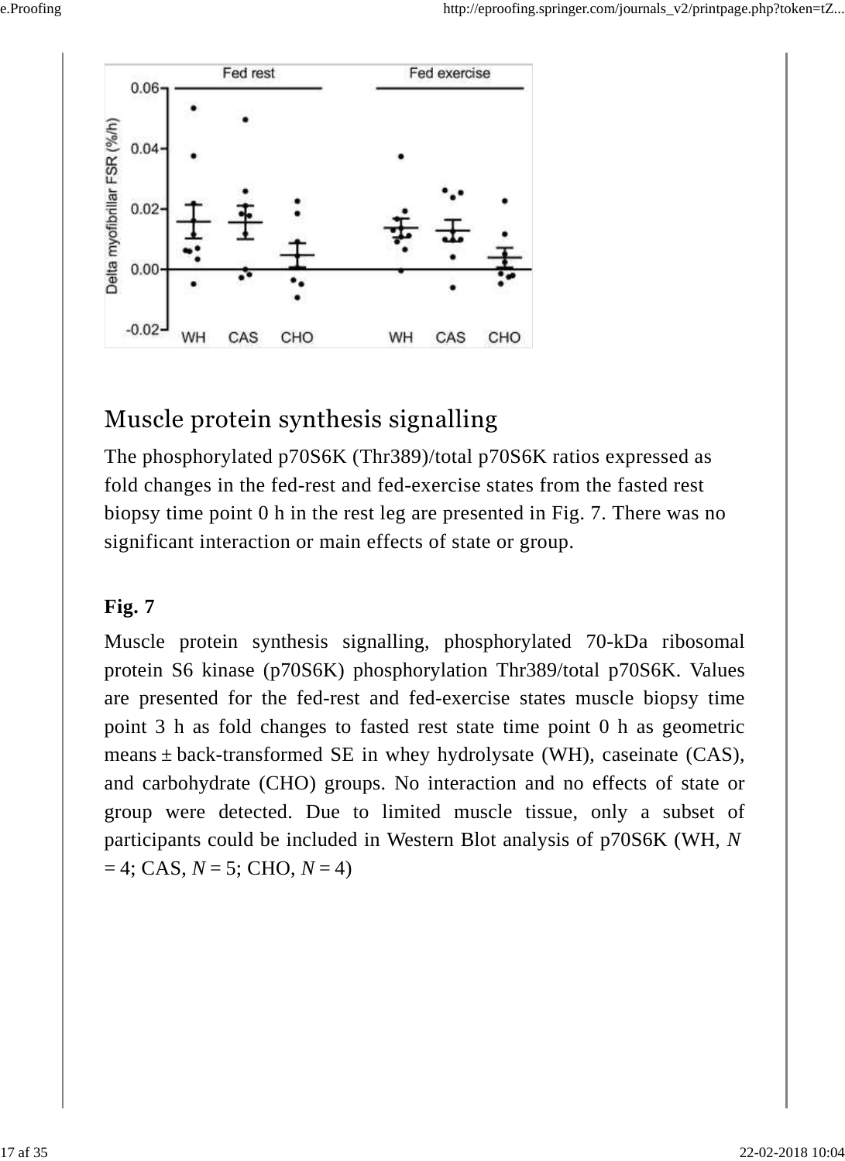

#### Muscle protein synthesis signalling

The phosphorylated p70S6K (Thr389)/total p70S6K ratios expressed as fold changes in the fed-rest and fed-exercise states from the fasted rest biopsy time point 0 h in the rest leg are presented in Fig. 7. There was no significant interaction or main effects of state or group.

#### **Fig. 7**

Muscle protein synthesis signalling, phosphorylated 70-kDa ribosomal protein S6 kinase (p70S6K) phosphorylation Thr389/total p70S6K. Values are presented for the fed-rest and fed-exercise states muscle biopsy time point 3 h as fold changes to fasted rest state time point 0 h as geometric means  $\pm$  back-transformed SE in whey hydrolysate (WH), caseinate (CAS), and carbohydrate (CHO) groups. No interaction and no effects of state or group were detected. Due to limited muscle tissue, only a subset of participants could be included in Western Blot analysis of p70S6K (WH, *N*  $= 4$ ; CAS, *N* = 5; CHO, *N* = 4)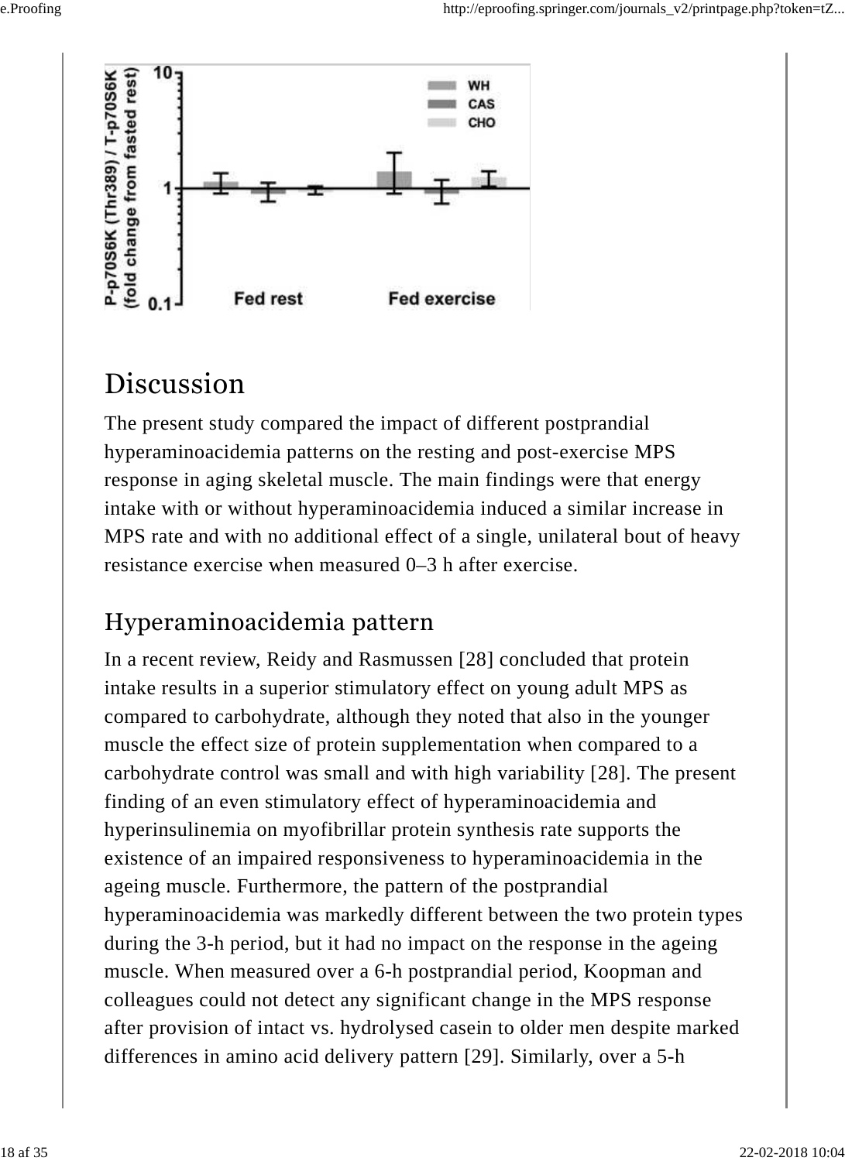

### Discussion

The present study compared the impact of different postprandial hyperaminoacidemia patterns on the resting and post-exercise MPS response in aging skeletal muscle. The main findings were that energy intake with or without hyperaminoacidemia induced a similar increase in MPS rate and with no additional effect of a single, unilateral bout of heavy resistance exercise when measured 0–3 h after exercise.

### Hyperaminoacidemia pattern

In a recent review, Reidy and Rasmussen [28] concluded that protein intake results in a superior stimulatory effect on young adult MPS as compared to carbohydrate, although they noted that also in the younger muscle the effect size of protein supplementation when compared to a carbohydrate control was small and with high variability [28]. The present finding of an even stimulatory effect of hyperaminoacidemia and hyperinsulinemia on myofibrillar protein synthesis rate supports the existence of an impaired responsiveness to hyperaminoacidemia in the ageing muscle. Furthermore, the pattern of the postprandial hyperaminoacidemia was markedly different between the two protein types during the 3-h period, but it had no impact on the response in the ageing muscle. When measured over a 6-h postprandial period, Koopman and colleagues could not detect any significant change in the MPS response after provision of intact vs. hydrolysed casein to older men despite marked differences in amino acid delivery pattern [29]. Similarly, over a 5-h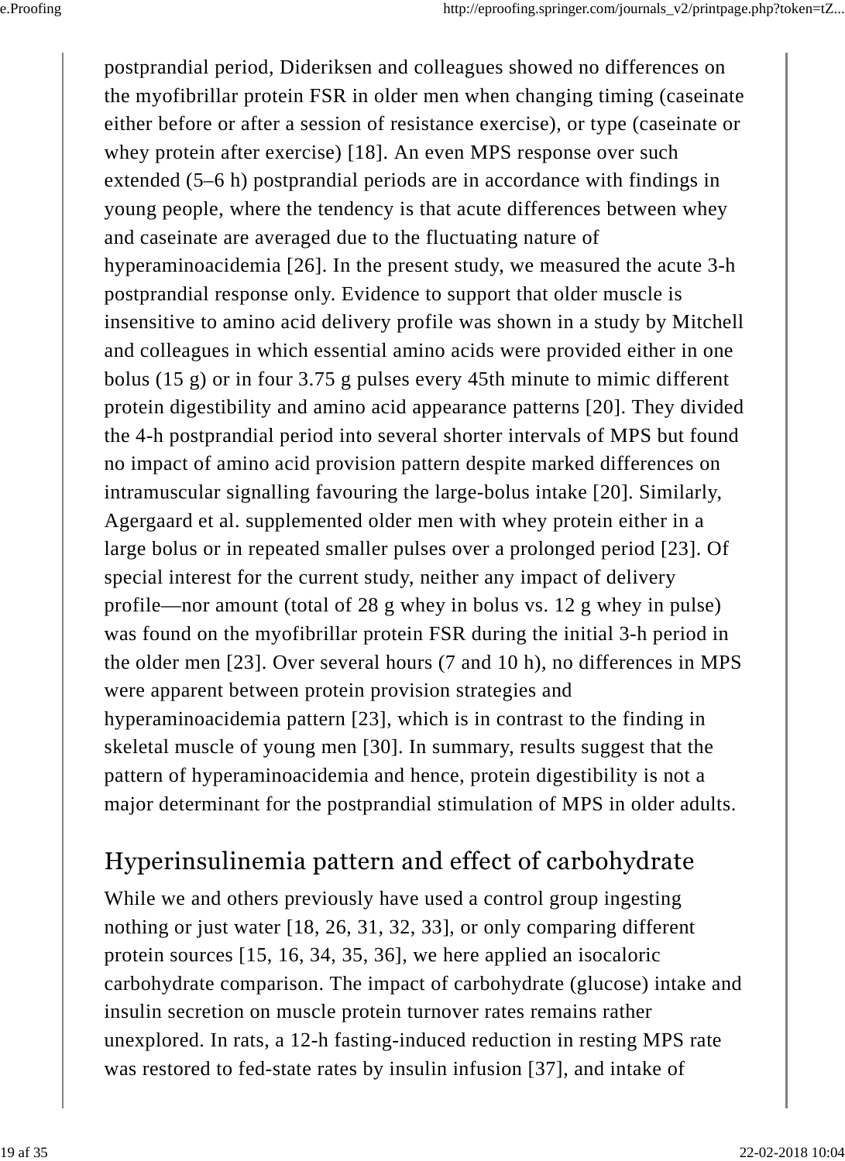postprandial period, Dideriksen and colleagues showed no differences on the myofibrillar protein FSR in older men when changing timing (caseinate either before or after a session of resistance exercise), or type (caseinate or whey protein after exercise) [18]. An even MPS response over such extended (5–6 h) postprandial periods are in accordance with findings in young people, where the tendency is that acute differences between whey and caseinate are averaged due to the fluctuating nature of hyperaminoacidemia [26]. In the present study, we measured the acute 3-h postprandial response only. Evidence to support that older muscle is insensitive to amino acid delivery profile was shown in a study by Mitchell and colleagues in which essential amino acids were provided either in one bolus (15 g) or in four 3.75 g pulses every 45th minute to mimic different protein digestibility and amino acid appearance patterns [20]. They divided the 4-h postprandial period into several shorter intervals of MPS but found no impact of amino acid provision pattern despite marked differences on intramuscular signalling favouring the large-bolus intake [20]. Similarly, Agergaard et al. supplemented older men with whey protein either in a large bolus or in repeated smaller pulses over a prolonged period [23]. Of special interest for the current study, neither any impact of delivery profile—nor amount (total of 28 g whey in bolus vs. 12 g whey in pulse) was found on the myofibrillar protein FSR during the initial 3-h period in the older men [23]. Over several hours (7 and 10 h), no differences in MPS were apparent between protein provision strategies and hyperaminoacidemia pattern [23], which is in contrast to the finding in skeletal muscle of young men [30]. In summary, results suggest that the pattern of hyperaminoacidemia and hence, protein digestibility is not a major determinant for the postprandial stimulation of MPS in older adults.

#### Hyperinsulinemia pattern and effect of carbohydrate

While we and others previously have used a control group ingesting nothing or just water [18, 26, 31, 32, 33], or only comparing different protein sources [15, 16, 34, 35, 36], we here applied an isocaloric carbohydrate comparison. The impact of carbohydrate (glucose) intake and insulin secretion on muscle protein turnover rates remains rather unexplored. In rats, a 12-h fasting-induced reduction in resting MPS rate was restored to fed-state rates by insulin infusion [37], and intake of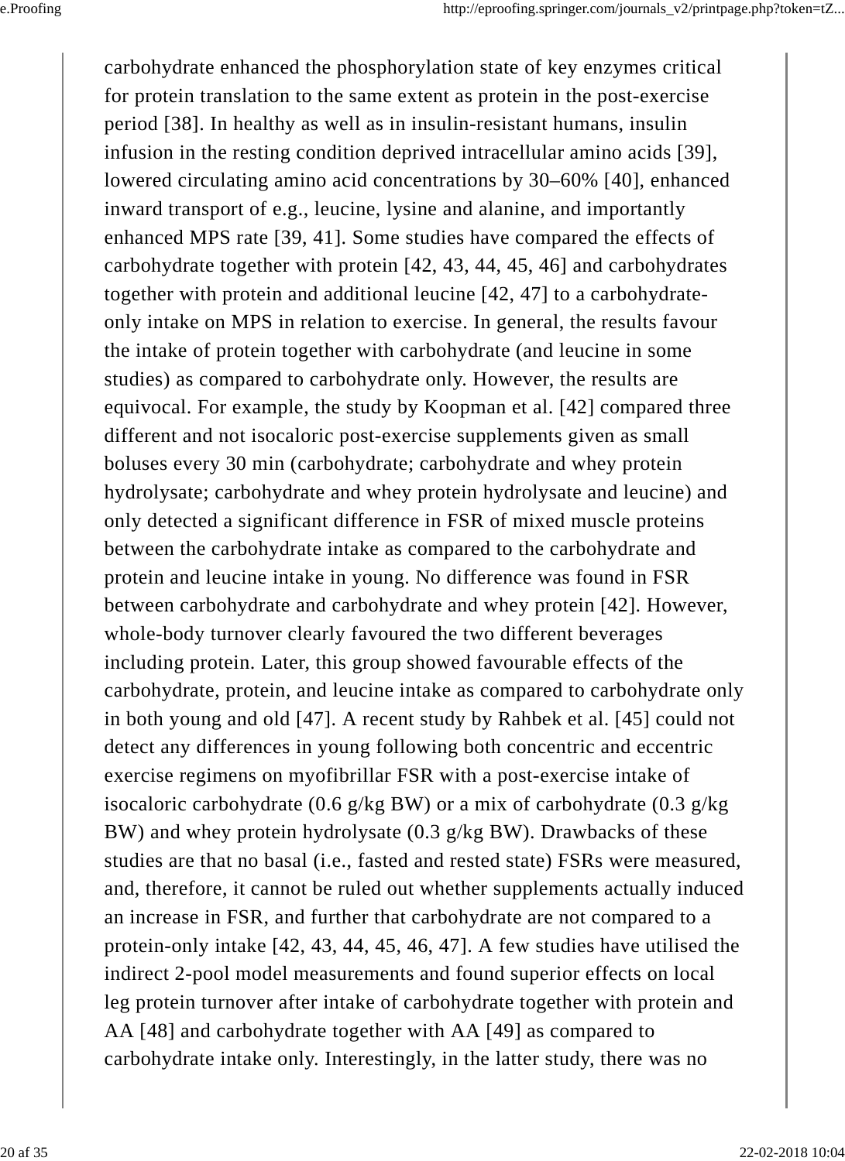carbohydrate enhanced the phosphorylation state of key enzymes critical for protein translation to the same extent as protein in the post-exercise period [38]. In healthy as well as in insulin-resistant humans, insulin infusion in the resting condition deprived intracellular amino acids [39], lowered circulating amino acid concentrations by 30–60% [40], enhanced inward transport of e.g., leucine, lysine and alanine, and importantly enhanced MPS rate [39, 41]. Some studies have compared the effects of carbohydrate together with protein [42, 43, 44, 45, 46] and carbohydrates together with protein and additional leucine [42, 47] to a carbohydrateonly intake on MPS in relation to exercise. In general, the results favour the intake of protein together with carbohydrate (and leucine in some studies) as compared to carbohydrate only. However, the results are equivocal. For example, the study by Koopman et al. [42] compared three different and not isocaloric post-exercise supplements given as small boluses every 30 min (carbohydrate; carbohydrate and whey protein hydrolysate; carbohydrate and whey protein hydrolysate and leucine) and only detected a significant difference in FSR of mixed muscle proteins between the carbohydrate intake as compared to the carbohydrate and protein and leucine intake in young. No difference was found in FSR between carbohydrate and carbohydrate and whey protein [42]. However, whole-body turnover clearly favoured the two different beverages including protein. Later, this group showed favourable effects of the carbohydrate, protein, and leucine intake as compared to carbohydrate only in both young and old [47]. A recent study by Rahbek et al. [45] could not detect any differences in young following both concentric and eccentric exercise regimens on myofibrillar FSR with a post-exercise intake of isocaloric carbohydrate (0.6 g/kg BW) or a mix of carbohydrate (0.3 g/kg) BW) and whey protein hydrolysate (0.3 g/kg BW). Drawbacks of these studies are that no basal (i.e., fasted and rested state) FSRs were measured, and, therefore, it cannot be ruled out whether supplements actually induced an increase in FSR, and further that carbohydrate are not compared to a protein-only intake [42, 43, 44, 45, 46, 47]. A few studies have utilised the indirect 2-pool model measurements and found superior effects on local leg protein turnover after intake of carbohydrate together with protein and AA [48] and carbohydrate together with AA [49] as compared to carbohydrate intake only. Interestingly, in the latter study, there was no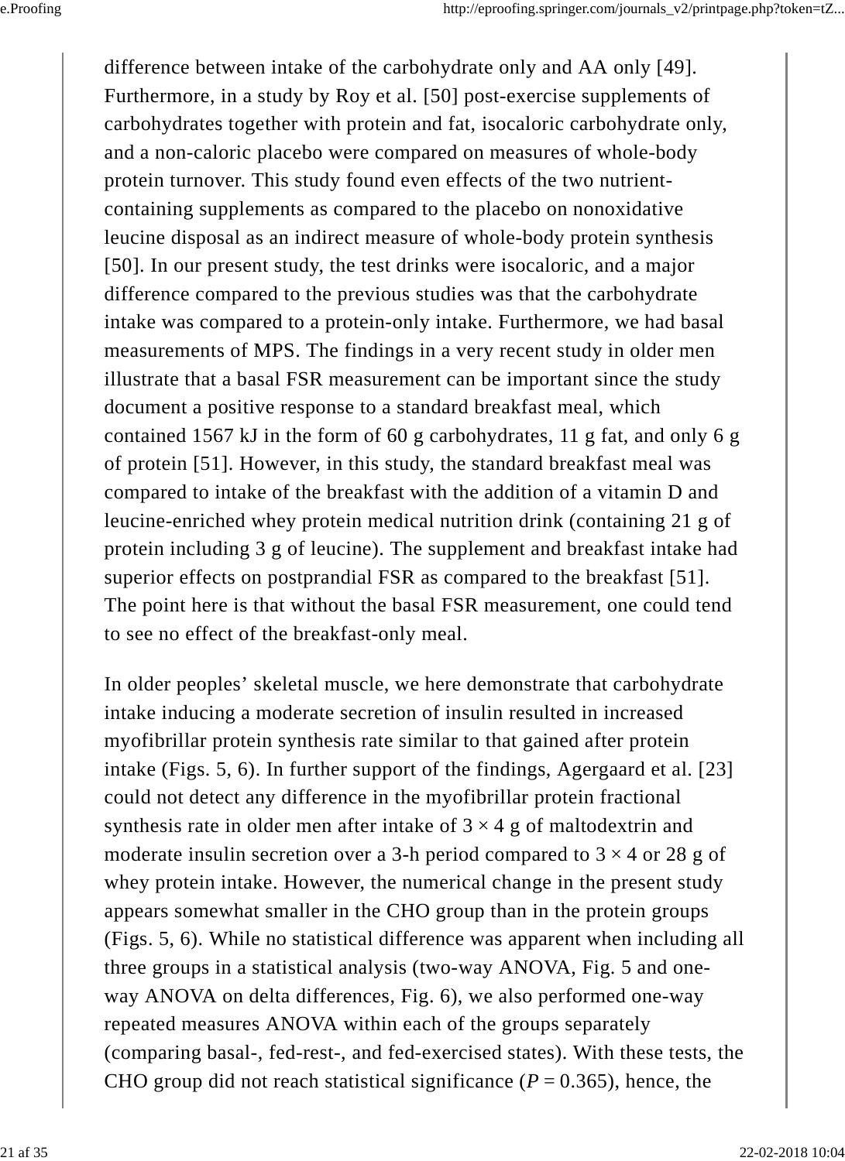difference between intake of the carbohydrate only and AA only [49]. Furthermore, in a study by Roy et al. [50] post-exercise supplements of carbohydrates together with protein and fat, isocaloric carbohydrate only, and a non-caloric placebo were compared on measures of whole-body protein turnover. This study found even effects of the two nutrientcontaining supplements as compared to the placebo on nonoxidative leucine disposal as an indirect measure of whole-body protein synthesis [50]. In our present study, the test drinks were isocaloric, and a major difference compared to the previous studies was that the carbohydrate intake was compared to a protein-only intake. Furthermore, we had basal measurements of MPS. The findings in a very recent study in older men illustrate that a basal FSR measurement can be important since the study document a positive response to a standard breakfast meal, which contained 1567 kJ in the form of 60 g carbohydrates, 11 g fat, and only 6 g of protein [51]. However, in this study, the standard breakfast meal was compared to intake of the breakfast with the addition of a vitamin D and leucine-enriched whey protein medical nutrition drink (containing 21 g of protein including 3 g of leucine). The supplement and breakfast intake had superior effects on postprandial FSR as compared to the breakfast [51]. The point here is that without the basal FSR measurement, one could tend to see no effect of the breakfast-only meal.

In older peoples' skeletal muscle, we here demonstrate that carbohydrate intake inducing a moderate secretion of insulin resulted in increased myofibrillar protein synthesis rate similar to that gained after protein intake (Figs. 5, 6). In further support of the findings, Agergaard et al. [23] could not detect any difference in the myofibrillar protein fractional synthesis rate in older men after intake of  $3 \times 4$  g of maltodextrin and moderate insulin secretion over a 3-h period compared to  $3 \times 4$  or 28 g of whey protein intake. However, the numerical change in the present study appears somewhat smaller in the CHO group than in the protein groups (Figs. 5, 6). While no statistical difference was apparent when including all three groups in a statistical analysis (two-way ANOVA, Fig. 5 and oneway ANOVA on delta differences, Fig. 6), we also performed one-way repeated measures ANOVA within each of the groups separately (comparing basal-, fed-rest-, and fed-exercised states). With these tests, the CHO group did not reach statistical significance ( $P = 0.365$ ), hence, the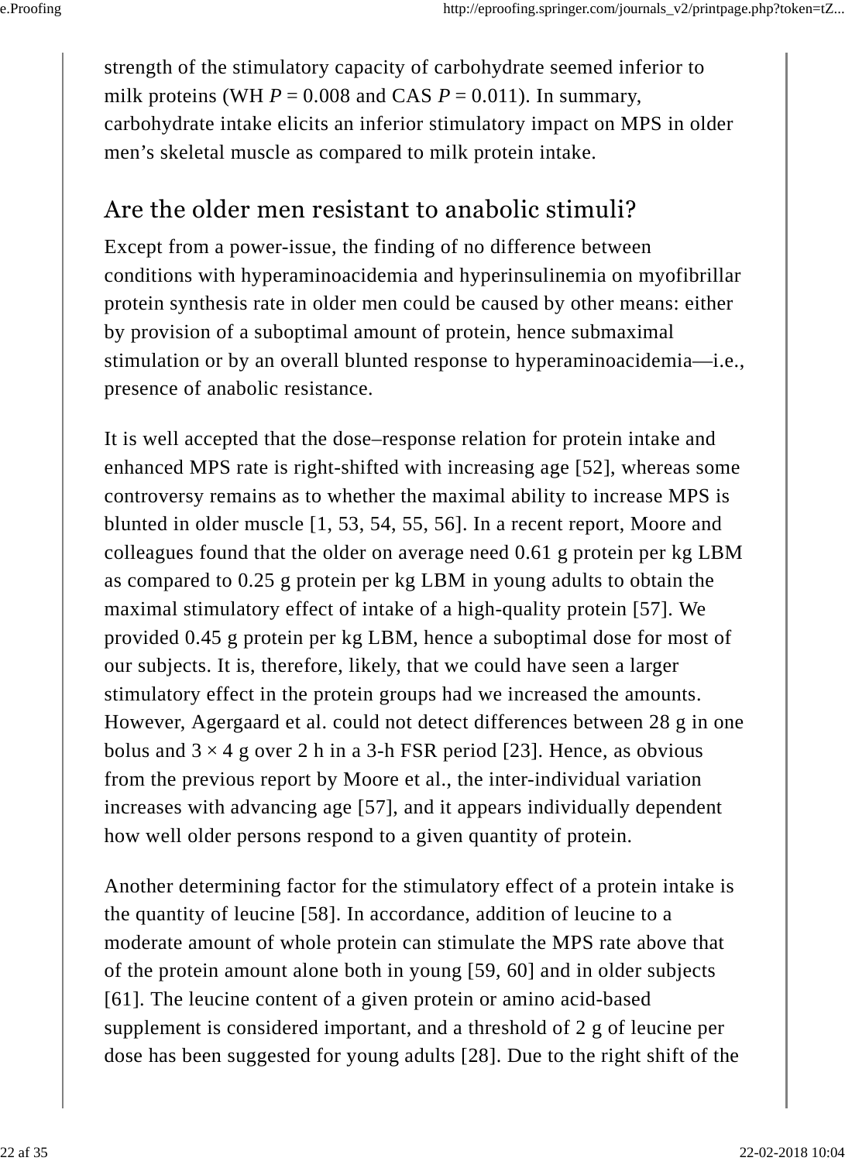strength of the stimulatory capacity of carbohydrate seemed inferior to milk proteins (WH  $P = 0.008$  and CAS  $P = 0.011$ ). In summary, carbohydrate intake elicits an inferior stimulatory impact on MPS in older men's skeletal muscle as compared to milk protein intake.

#### Are the older men resistant to anabolic stimuli?

Except from a power-issue, the finding of no difference between conditions with hyperaminoacidemia and hyperinsulinemia on myofibrillar protein synthesis rate in older men could be caused by other means: either by provision of a suboptimal amount of protein, hence submaximal stimulation or by an overall blunted response to hyperaminoacidemia—i.e., presence of anabolic resistance.

It is well accepted that the dose–response relation for protein intake and enhanced MPS rate is right-shifted with increasing age [52], whereas some controversy remains as to whether the maximal ability to increase MPS is blunted in older muscle [1, 53, 54, 55, 56]. In a recent report, Moore and colleagues found that the older on average need 0.61 g protein per kg LBM as compared to 0.25 g protein per kg LBM in young adults to obtain the maximal stimulatory effect of intake of a high-quality protein [57]. We provided 0.45 g protein per kg LBM, hence a suboptimal dose for most of our subjects. It is, therefore, likely, that we could have seen a larger stimulatory effect in the protein groups had we increased the amounts. However, Agergaard et al. could not detect differences between 28 g in one bolus and  $3 \times 4$  g over 2 h in a 3-h FSR period [23]. Hence, as obvious from the previous report by Moore et al., the inter-individual variation increases with advancing age [57], and it appears individually dependent how well older persons respond to a given quantity of protein.

Another determining factor for the stimulatory effect of a protein intake is the quantity of leucine [58]. In accordance, addition of leucine to a moderate amount of whole protein can stimulate the MPS rate above that of the protein amount alone both in young [59, 60] and in older subjects [61]. The leucine content of a given protein or amino acid-based supplement is considered important, and a threshold of 2 g of leucine per dose has been suggested for young adults [28]. Due to the right shift of the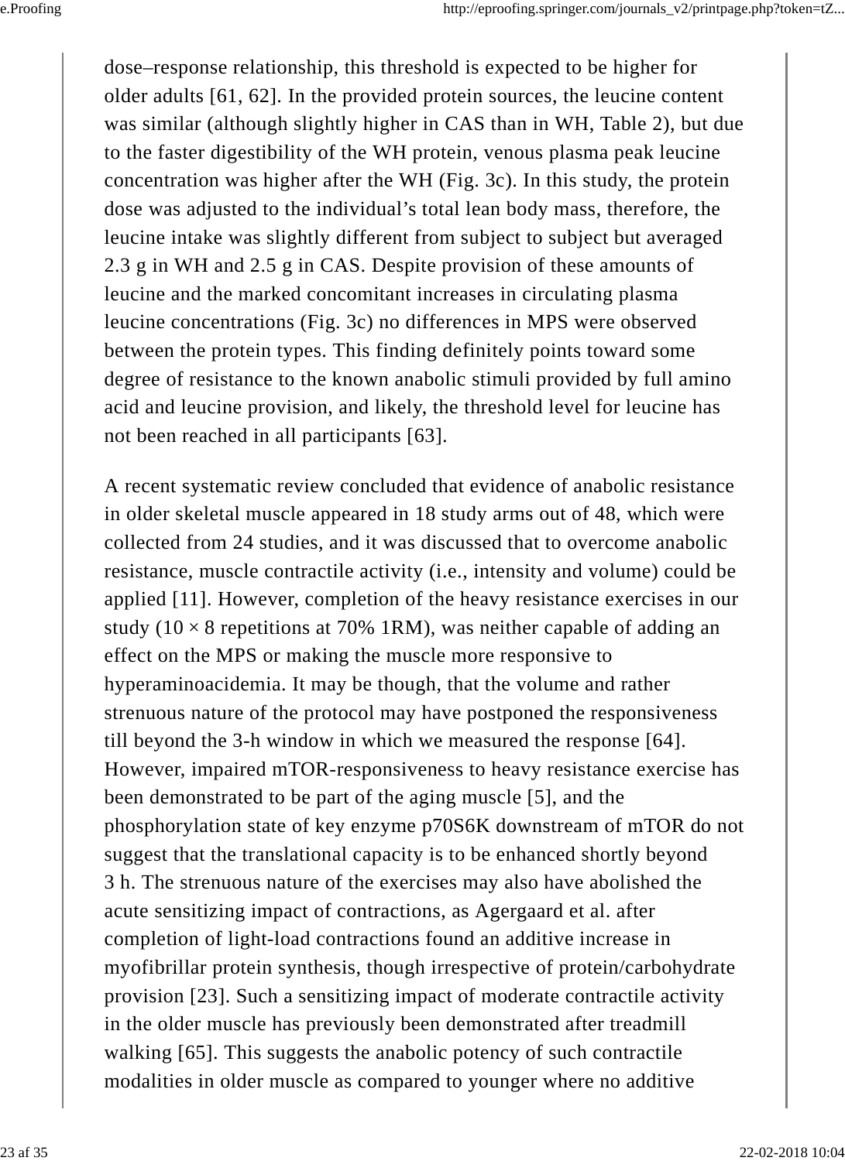dose–response relationship, this threshold is expected to be higher for older adults [61, 62]. In the provided protein sources, the leucine content was similar (although slightly higher in CAS than in WH, Table 2), but due to the faster digestibility of the WH protein, venous plasma peak leucine concentration was higher after the WH (Fig. 3c). In this study, the protein dose was adjusted to the individual's total lean body mass, therefore, the leucine intake was slightly different from subject to subject but averaged 2.3 g in WH and 2.5 g in CAS. Despite provision of these amounts of leucine and the marked concomitant increases in circulating plasma leucine concentrations (Fig. 3c) no differences in MPS were observed between the protein types. This finding definitely points toward some degree of resistance to the known anabolic stimuli provided by full amino acid and leucine provision, and likely, the threshold level for leucine has not been reached in all participants [63].

A recent systematic review concluded that evidence of anabolic resistance in older skeletal muscle appeared in 18 study arms out of 48, which were collected from 24 studies, and it was discussed that to overcome anabolic resistance, muscle contractile activity (i.e., intensity and volume) could be applied [11]. However, completion of the heavy resistance exercises in our study ( $10 \times 8$  repetitions at 70% 1RM), was neither capable of adding an effect on the MPS or making the muscle more responsive to hyperaminoacidemia. It may be though, that the volume and rather strenuous nature of the protocol may have postponed the responsiveness till beyond the 3-h window in which we measured the response [64]. However, impaired mTOR-responsiveness to heavy resistance exercise has been demonstrated to be part of the aging muscle [5], and the phosphorylation state of key enzyme p70S6K downstream of mTOR do not suggest that the translational capacity is to be enhanced shortly beyond 3 h. The strenuous nature of the exercises may also have abolished the acute sensitizing impact of contractions, as Agergaard et al. after completion of light-load contractions found an additive increase in myofibrillar protein synthesis, though irrespective of protein/carbohydrate provision [23]. Such a sensitizing impact of moderate contractile activity in the older muscle has previously been demonstrated after treadmill walking [65]. This suggests the anabolic potency of such contractile modalities in older muscle as compared to younger where no additive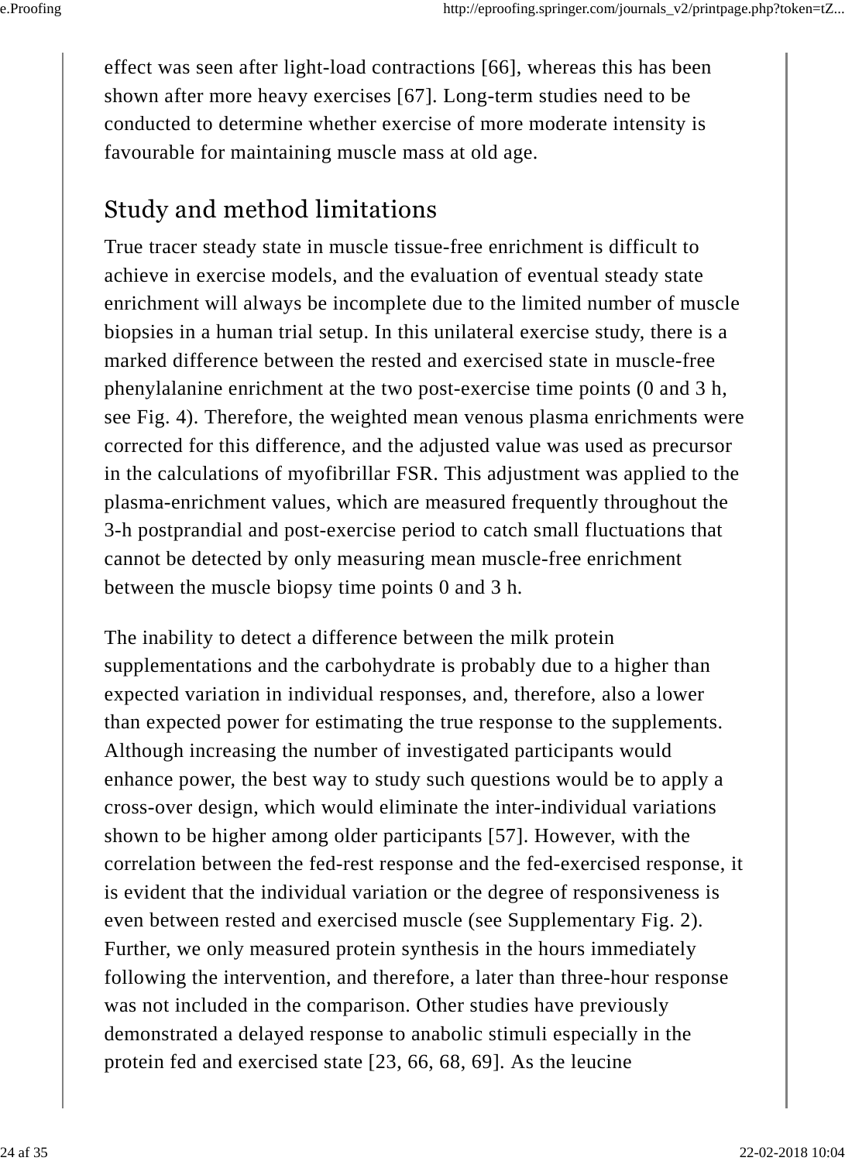effect was seen after light-load contractions [66], whereas this has been shown after more heavy exercises [67]. Long-term studies need to be conducted to determine whether exercise of more moderate intensity is favourable for maintaining muscle mass at old age.

#### Study and method limitations

True tracer steady state in muscle tissue-free enrichment is difficult to achieve in exercise models, and the evaluation of eventual steady state enrichment will always be incomplete due to the limited number of muscle biopsies in a human trial setup. In this unilateral exercise study, there is a marked difference between the rested and exercised state in muscle-free phenylalanine enrichment at the two post-exercise time points (0 and 3 h, see Fig. 4). Therefore, the weighted mean venous plasma enrichments were corrected for this difference, and the adjusted value was used as precursor in the calculations of myofibrillar FSR. This adjustment was applied to the plasma-enrichment values, which are measured frequently throughout the 3-h postprandial and post-exercise period to catch small fluctuations that cannot be detected by only measuring mean muscle-free enrichment between the muscle biopsy time points 0 and 3 h.

The inability to detect a difference between the milk protein supplementations and the carbohydrate is probably due to a higher than expected variation in individual responses, and, therefore, also a lower than expected power for estimating the true response to the supplements. Although increasing the number of investigated participants would enhance power, the best way to study such questions would be to apply a cross-over design, which would eliminate the inter-individual variations shown to be higher among older participants [57]. However, with the correlation between the fed-rest response and the fed-exercised response, it is evident that the individual variation or the degree of responsiveness is even between rested and exercised muscle (see Supplementary Fig. 2). Further, we only measured protein synthesis in the hours immediately following the intervention, and therefore, a later than three-hour response was not included in the comparison. Other studies have previously demonstrated a delayed response to anabolic stimuli especially in the protein fed and exercised state [23, 66, 68, 69]. As the leucine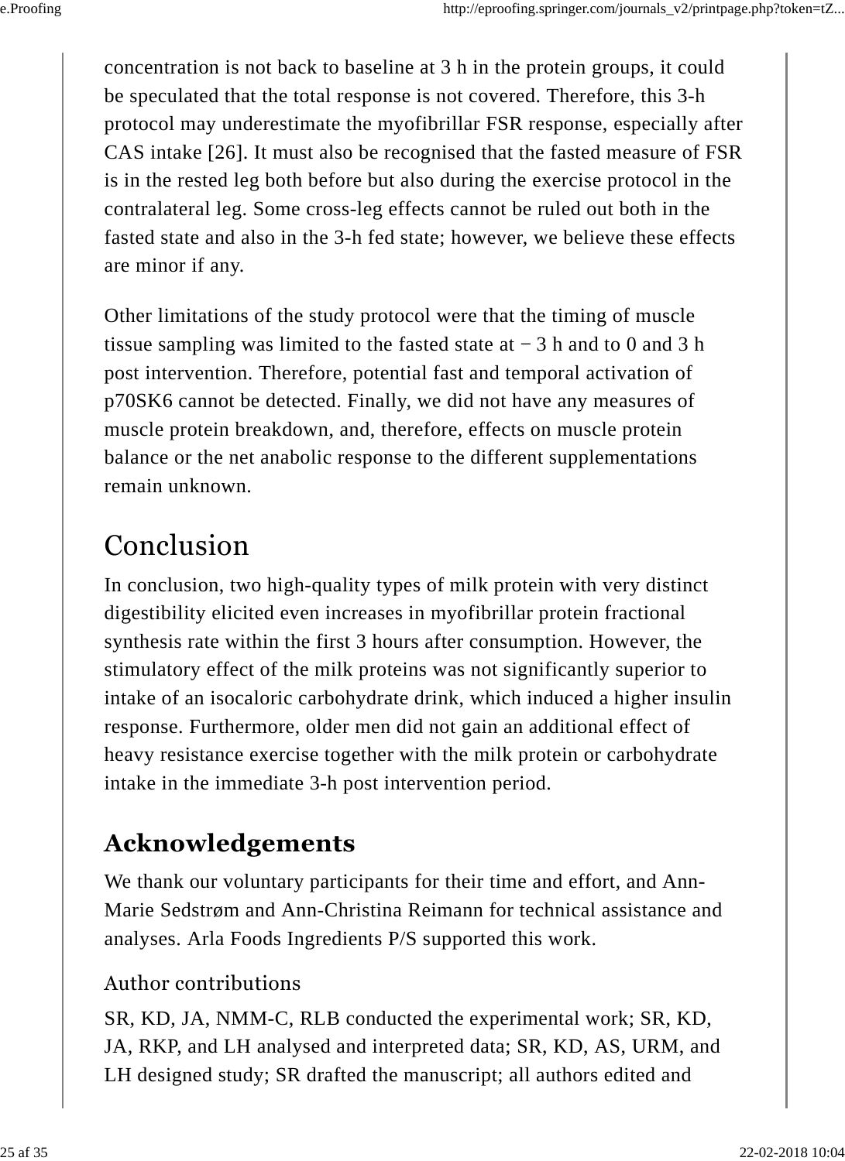concentration is not back to baseline at 3 h in the protein groups, it could be speculated that the total response is not covered. Therefore, this 3-h protocol may underestimate the myofibrillar FSR response, especially after CAS intake [26]. It must also be recognised that the fasted measure of FSR is in the rested leg both before but also during the exercise protocol in the contralateral leg. Some cross-leg effects cannot be ruled out both in the fasted state and also in the 3-h fed state; however, we believe these effects are minor if any.

Other limitations of the study protocol were that the timing of muscle tissue sampling was limited to the fasted state at − 3 h and to 0 and 3 h post intervention. Therefore, potential fast and temporal activation of p70SK6 cannot be detected. Finally, we did not have any measures of muscle protein breakdown, and, therefore, effects on muscle protein balance or the net anabolic response to the different supplementations remain unknown.

# Conclusion

In conclusion, two high-quality types of milk protein with very distinct digestibility elicited even increases in myofibrillar protein fractional synthesis rate within the first 3 hours after consumption. However, the stimulatory effect of the milk proteins was not significantly superior to intake of an isocaloric carbohydrate drink, which induced a higher insulin response. Furthermore, older men did not gain an additional effect of heavy resistance exercise together with the milk protein or carbohydrate intake in the immediate 3-h post intervention period.

### **Acknowledgements**

We thank our voluntary participants for their time and effort, and Ann-Marie Sedstrøm and Ann-Christina Reimann for technical assistance and analyses. Arla Foods Ingredients P/S supported this work.

#### Author contributions

SR, KD, JA, NMM-C, RLB conducted the experimental work; SR, KD, JA, RKP, and LH analysed and interpreted data; SR, KD, AS, URM, and LH designed study; SR drafted the manuscript; all authors edited and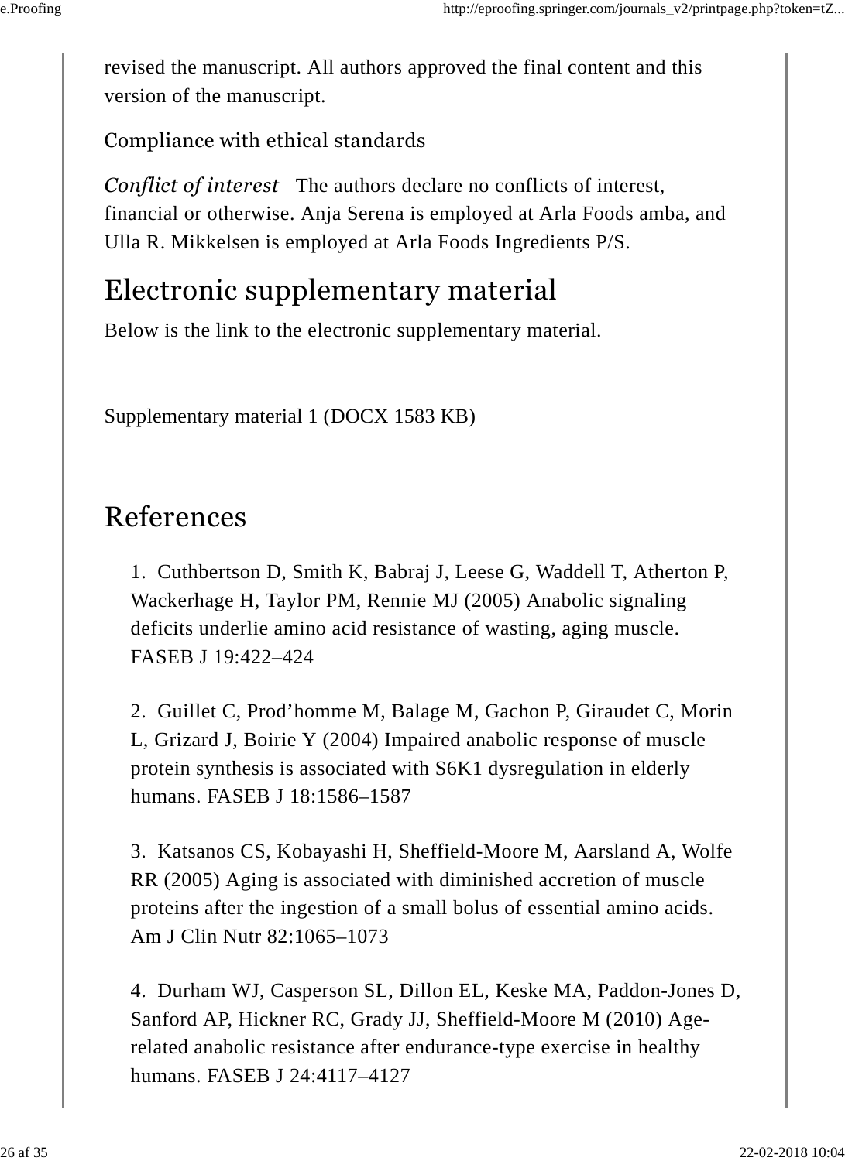revised the manuscript. All authors approved the final content and this version of the manuscript.

Compliance with ethical standards

*Conflict of interest* The authors declare no conflicts of interest, financial or otherwise. Anja Serena is employed at Arla Foods amba, and Ulla R. Mikkelsen is employed at Arla Foods Ingredients P/S.

## Electronic supplementary material

Below is the link to the electronic supplementary material.

Supplementary material 1 (DOCX 1583 KB)

# References

1. Cuthbertson D, Smith K, Babraj J, Leese G, Waddell T, Atherton P, Wackerhage H, Taylor PM, Rennie MJ (2005) Anabolic signaling deficits underlie amino acid resistance of wasting, aging muscle. FASEB J 19:422–424

2. Guillet C, Prod'homme M, Balage M, Gachon P, Giraudet C, Morin L, Grizard J, Boirie Y (2004) Impaired anabolic response of muscle protein synthesis is associated with S6K1 dysregulation in elderly humans. FASEB J 18:1586–1587

3. Katsanos CS, Kobayashi H, Sheffield-Moore M, Aarsland A, Wolfe RR (2005) Aging is associated with diminished accretion of muscle proteins after the ingestion of a small bolus of essential amino acids. Am J Clin Nutr 82:1065–1073

4. Durham WJ, Casperson SL, Dillon EL, Keske MA, Paddon-Jones D, Sanford AP, Hickner RC, Grady JJ, Sheffield-Moore M (2010) Agerelated anabolic resistance after endurance-type exercise in healthy humans. FASEB J 24:4117–4127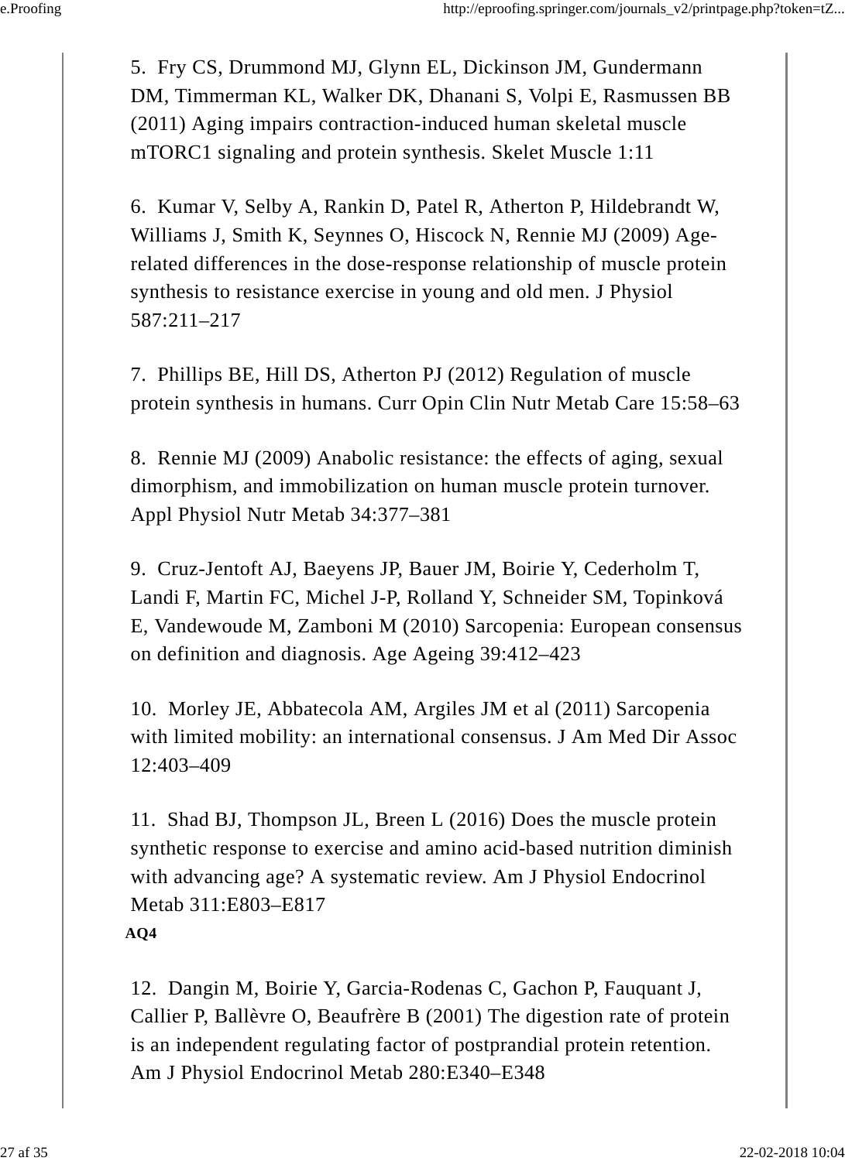5. Fry CS, Drummond MJ, Glynn EL, Dickinson JM, Gundermann DM, Timmerman KL, Walker DK, Dhanani S, Volpi E, Rasmussen BB (2011) Aging impairs contraction-induced human skeletal muscle mTORC1 signaling and protein synthesis. Skelet Muscle 1:11

6. Kumar V, Selby A, Rankin D, Patel R, Atherton P, Hildebrandt W, Williams J, Smith K, Seynnes O, Hiscock N, Rennie MJ (2009) Agerelated differences in the dose-response relationship of muscle protein synthesis to resistance exercise in young and old men. J Physiol 587:211–217

7. Phillips BE, Hill DS, Atherton PJ (2012) Regulation of muscle protein synthesis in humans. Curr Opin Clin Nutr Metab Care 15:58–63

8. Rennie MJ (2009) Anabolic resistance: the effects of aging, sexual dimorphism, and immobilization on human muscle protein turnover. Appl Physiol Nutr Metab 34:377–381

9. Cruz-Jentoft AJ, Baeyens JP, Bauer JM, Boirie Y, Cederholm T, Landi F, Martin FC, Michel J-P, Rolland Y, Schneider SM, Topinková E, Vandewoude M, Zamboni M (2010) Sarcopenia: European consensus on definition and diagnosis. Age Ageing 39:412–423

10. Morley JE, Abbatecola AM, Argiles JM et al (2011) Sarcopenia with limited mobility: an international consensus. J Am Med Dir Assoc 12:403–409

11. Shad BJ, Thompson JL, Breen L (2016) Does the muscle protein synthetic response to exercise and amino acid-based nutrition diminish with advancing age? A systematic review. Am J Physiol Endocrinol Metab 311:E803–E817 **AQ4**

12. Dangin M, Boirie Y, Garcia-Rodenas C, Gachon P, Fauquant J, Callier P, Ballèvre O, Beaufrère B (2001) The digestion rate of protein is an independent regulating factor of postprandial protein retention. Am J Physiol Endocrinol Metab 280:E340–E348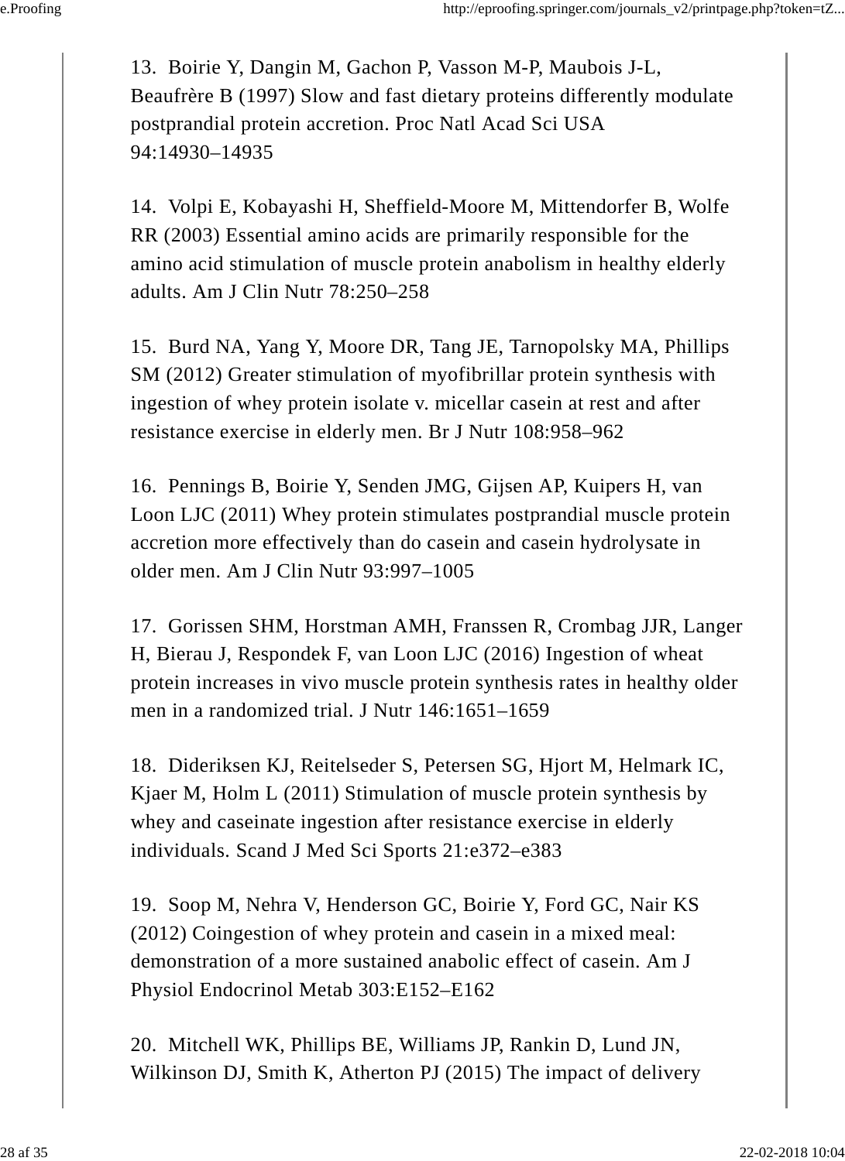13. Boirie Y, Dangin M, Gachon P, Vasson M-P, Maubois J-L, Beaufrère B (1997) Slow and fast dietary proteins differently modulate postprandial protein accretion. Proc Natl Acad Sci USA 94:14930–14935

14. Volpi E, Kobayashi H, Sheffield-Moore M, Mittendorfer B, Wolfe RR (2003) Essential amino acids are primarily responsible for the amino acid stimulation of muscle protein anabolism in healthy elderly adults. Am J Clin Nutr 78:250–258

15. Burd NA, Yang Y, Moore DR, Tang JE, Tarnopolsky MA, Phillips SM (2012) Greater stimulation of myofibrillar protein synthesis with ingestion of whey protein isolate v. micellar casein at rest and after resistance exercise in elderly men. Br J Nutr 108:958–962

16. Pennings B, Boirie Y, Senden JMG, Gijsen AP, Kuipers H, van Loon LJC (2011) Whey protein stimulates postprandial muscle protein accretion more effectively than do casein and casein hydrolysate in older men. Am J Clin Nutr 93:997–1005

17. Gorissen SHM, Horstman AMH, Franssen R, Crombag JJR, Langer H, Bierau J, Respondek F, van Loon LJC (2016) Ingestion of wheat protein increases in vivo muscle protein synthesis rates in healthy older men in a randomized trial. J Nutr 146:1651–1659

18. Dideriksen KJ, Reitelseder S, Petersen SG, Hjort M, Helmark IC, Kjaer M, Holm L (2011) Stimulation of muscle protein synthesis by whey and caseinate ingestion after resistance exercise in elderly individuals. Scand J Med Sci Sports 21:e372–e383

19. Soop M, Nehra V, Henderson GC, Boirie Y, Ford GC, Nair KS (2012) Coingestion of whey protein and casein in a mixed meal: demonstration of a more sustained anabolic effect of casein. Am J Physiol Endocrinol Metab 303:E152–E162

20. Mitchell WK, Phillips BE, Williams JP, Rankin D, Lund JN, Wilkinson DJ, Smith K, Atherton PJ (2015) The impact of delivery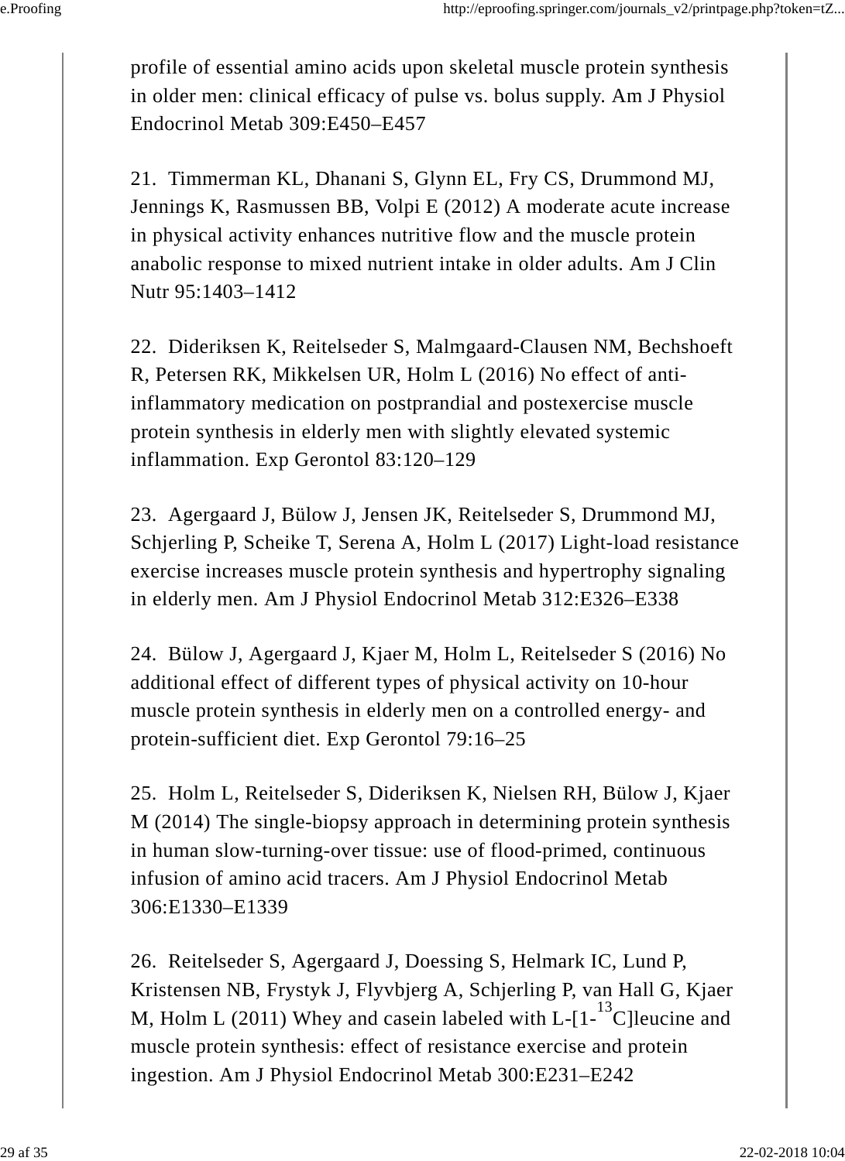profile of essential amino acids upon skeletal muscle protein synthesis in older men: clinical efficacy of pulse vs. bolus supply. Am J Physiol Endocrinol Metab 309:E450–E457

21. Timmerman KL, Dhanani S, Glynn EL, Fry CS, Drummond MJ, Jennings K, Rasmussen BB, Volpi E (2012) A moderate acute increase in physical activity enhances nutritive flow and the muscle protein anabolic response to mixed nutrient intake in older adults. Am J Clin Nutr 95:1403–1412

22. Dideriksen K, Reitelseder S, Malmgaard-Clausen NM, Bechshoeft R, Petersen RK, Mikkelsen UR, Holm L (2016) No effect of antiinflammatory medication on postprandial and postexercise muscle protein synthesis in elderly men with slightly elevated systemic inflammation. Exp Gerontol 83:120–129

23. Agergaard J, Bülow J, Jensen JK, Reitelseder S, Drummond MJ, Schjerling P, Scheike T, Serena A, Holm L (2017) Light-load resistance exercise increases muscle protein synthesis and hypertrophy signaling in elderly men. Am J Physiol Endocrinol Metab 312:E326–E338

24. Bülow J, Agergaard J, Kjaer M, Holm L, Reitelseder S (2016) No additional effect of different types of physical activity on 10-hour muscle protein synthesis in elderly men on a controlled energy- and protein-sufficient diet. Exp Gerontol 79:16–25

25. Holm L, Reitelseder S, Dideriksen K, Nielsen RH, Bülow J, Kjaer M (2014) The single-biopsy approach in determining protein synthesis in human slow-turning-over tissue: use of flood-primed, continuous infusion of amino acid tracers. Am J Physiol Endocrinol Metab 306:E1330–E1339

26. Reitelseder S, Agergaard J, Doessing S, Helmark IC, Lund P, Kristensen NB, Frystyk J, Flyvbjerg A, Schjerling P, van Hall G, Kjaer M, Holm L (2011) Whey and casein labeled with L- $[1 - {}^{13}C]$  leucine and muscle protein synthesis: effect of resistance exercise and protein ingestion. Am J Physiol Endocrinol Metab 300:E231–E242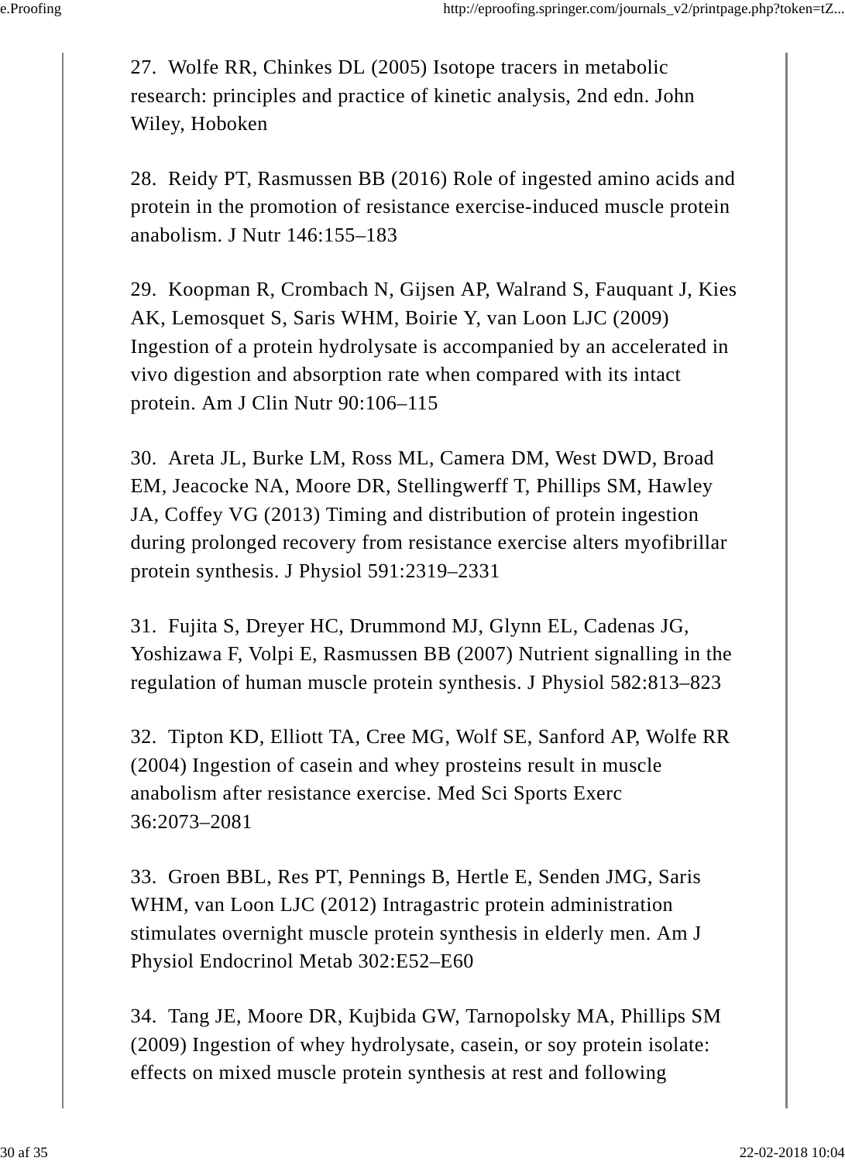27. Wolfe RR, Chinkes DL (2005) Isotope tracers in metabolic research: principles and practice of kinetic analysis, 2nd edn. John Wiley, Hoboken

28. Reidy PT, Rasmussen BB (2016) Role of ingested amino acids and protein in the promotion of resistance exercise-induced muscle protein anabolism. J Nutr 146:155–183

29. Koopman R, Crombach N, Gijsen AP, Walrand S, Fauquant J, Kies AK, Lemosquet S, Saris WHM, Boirie Y, van Loon LJC (2009) Ingestion of a protein hydrolysate is accompanied by an accelerated in vivo digestion and absorption rate when compared with its intact protein. Am J Clin Nutr 90:106–115

30. Areta JL, Burke LM, Ross ML, Camera DM, West DWD, Broad EM, Jeacocke NA, Moore DR, Stellingwerff T, Phillips SM, Hawley JA, Coffey VG (2013) Timing and distribution of protein ingestion during prolonged recovery from resistance exercise alters myofibrillar protein synthesis. J Physiol 591:2319–2331

31. Fujita S, Dreyer HC, Drummond MJ, Glynn EL, Cadenas JG, Yoshizawa F, Volpi E, Rasmussen BB (2007) Nutrient signalling in the regulation of human muscle protein synthesis. J Physiol 582:813–823

32. Tipton KD, Elliott TA, Cree MG, Wolf SE, Sanford AP, Wolfe RR (2004) Ingestion of casein and whey prosteins result in muscle anabolism after resistance exercise. Med Sci Sports Exerc 36:2073–2081

33. Groen BBL, Res PT, Pennings B, Hertle E, Senden JMG, Saris WHM, van Loon LJC (2012) Intragastric protein administration stimulates overnight muscle protein synthesis in elderly men. Am J Physiol Endocrinol Metab 302:E52–E60

34. Tang JE, Moore DR, Kujbida GW, Tarnopolsky MA, Phillips SM (2009) Ingestion of whey hydrolysate, casein, or soy protein isolate: effects on mixed muscle protein synthesis at rest and following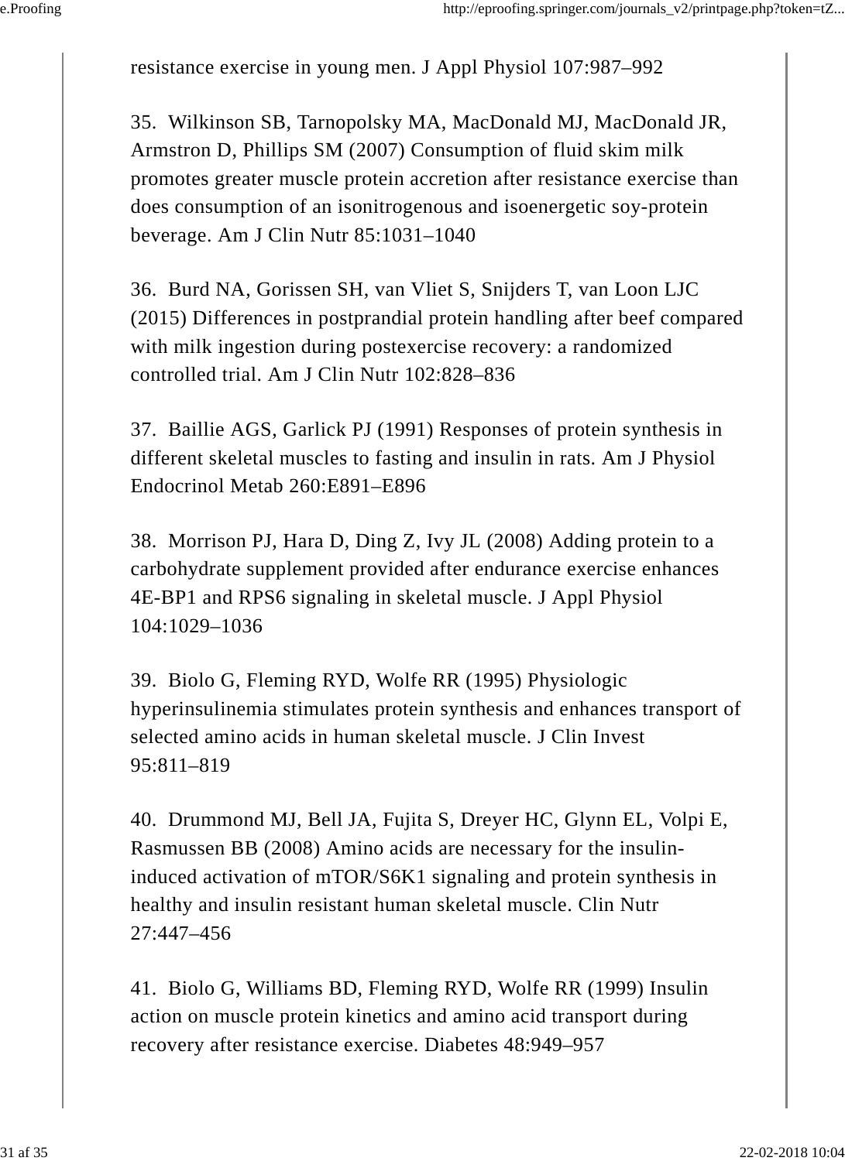resistance exercise in young men. J Appl Physiol 107:987–992

35. Wilkinson SB, Tarnopolsky MA, MacDonald MJ, MacDonald JR, Armstron D, Phillips SM (2007) Consumption of fluid skim milk promotes greater muscle protein accretion after resistance exercise than does consumption of an isonitrogenous and isoenergetic soy-protein beverage. Am J Clin Nutr 85:1031–1040

36. Burd NA, Gorissen SH, van Vliet S, Snijders T, van Loon LJC (2015) Differences in postprandial protein handling after beef compared with milk ingestion during postexercise recovery: a randomized controlled trial. Am J Clin Nutr 102:828–836

37. Baillie AGS, Garlick PJ (1991) Responses of protein synthesis in different skeletal muscles to fasting and insulin in rats. Am J Physiol Endocrinol Metab 260:E891–E896

38. Morrison PJ, Hara D, Ding Z, Ivy JL (2008) Adding protein to a carbohydrate supplement provided after endurance exercise enhances 4E-BP1 and RPS6 signaling in skeletal muscle. J Appl Physiol 104:1029–1036

39. Biolo G, Fleming RYD, Wolfe RR (1995) Physiologic hyperinsulinemia stimulates protein synthesis and enhances transport of selected amino acids in human skeletal muscle. J Clin Invest 95:811–819

40. Drummond MJ, Bell JA, Fujita S, Dreyer HC, Glynn EL, Volpi E, Rasmussen BB (2008) Amino acids are necessary for the insulininduced activation of mTOR/S6K1 signaling and protein synthesis in healthy and insulin resistant human skeletal muscle. Clin Nutr 27:447–456

41. Biolo G, Williams BD, Fleming RYD, Wolfe RR (1999) Insulin action on muscle protein kinetics and amino acid transport during recovery after resistance exercise. Diabetes 48:949–957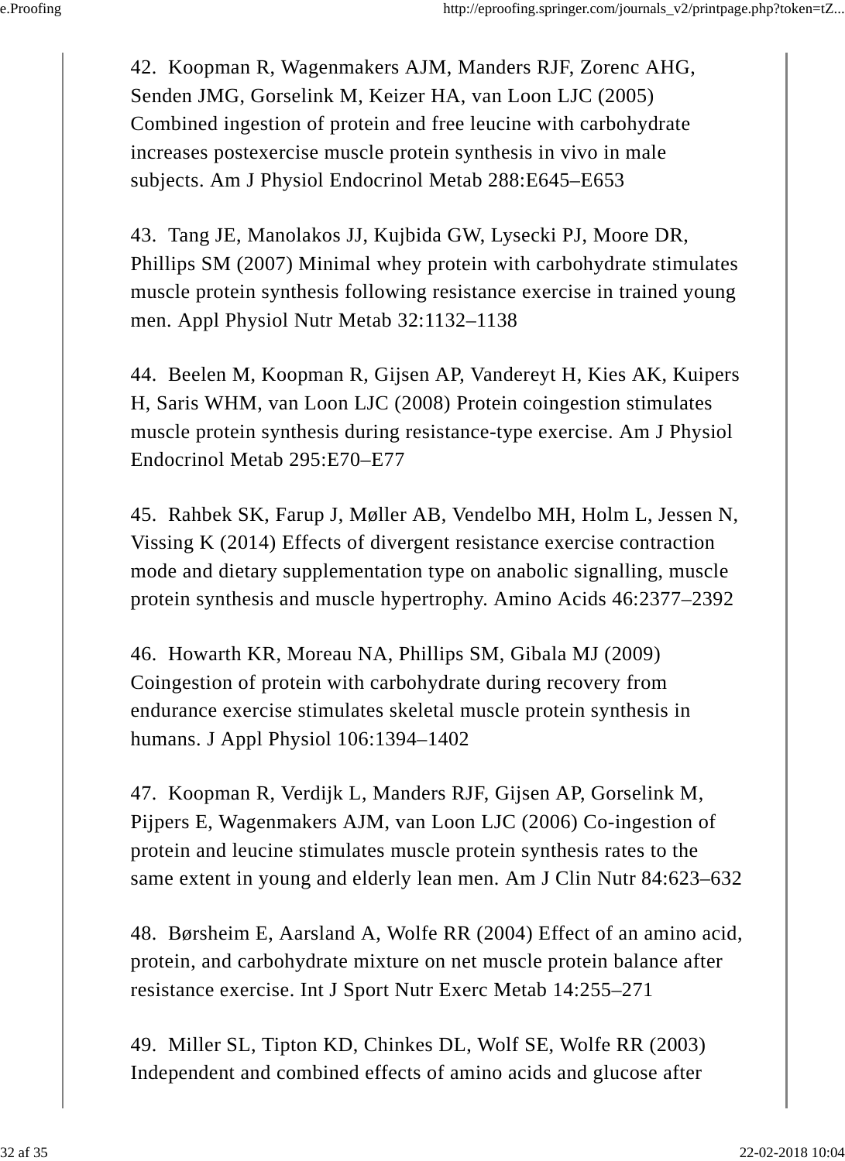42. Koopman R, Wagenmakers AJM, Manders RJF, Zorenc AHG, Senden JMG, Gorselink M, Keizer HA, van Loon LJC (2005) Combined ingestion of protein and free leucine with carbohydrate increases postexercise muscle protein synthesis in vivo in male subjects. Am J Physiol Endocrinol Metab 288:E645–E653

43. Tang JE, Manolakos JJ, Kujbida GW, Lysecki PJ, Moore DR, Phillips SM (2007) Minimal whey protein with carbohydrate stimulates muscle protein synthesis following resistance exercise in trained young men. Appl Physiol Nutr Metab 32:1132–1138

44. Beelen M, Koopman R, Gijsen AP, Vandereyt H, Kies AK, Kuipers H, Saris WHM, van Loon LJC (2008) Protein coingestion stimulates muscle protein synthesis during resistance-type exercise. Am J Physiol Endocrinol Metab 295:E70–E77

45. Rahbek SK, Farup J, Møller AB, Vendelbo MH, Holm L, Jessen N, Vissing K (2014) Effects of divergent resistance exercise contraction mode and dietary supplementation type on anabolic signalling, muscle protein synthesis and muscle hypertrophy. Amino Acids 46:2377–2392

46. Howarth KR, Moreau NA, Phillips SM, Gibala MJ (2009) Coingestion of protein with carbohydrate during recovery from endurance exercise stimulates skeletal muscle protein synthesis in humans. J Appl Physiol 106:1394–1402

47. Koopman R, Verdijk L, Manders RJF, Gijsen AP, Gorselink M, Pijpers E, Wagenmakers AJM, van Loon LJC (2006) Co-ingestion of protein and leucine stimulates muscle protein synthesis rates to the same extent in young and elderly lean men. Am J Clin Nutr 84:623–632

48. Børsheim E, Aarsland A, Wolfe RR (2004) Effect of an amino acid, protein, and carbohydrate mixture on net muscle protein balance after resistance exercise. Int J Sport Nutr Exerc Metab 14:255–271

49. Miller SL, Tipton KD, Chinkes DL, Wolf SE, Wolfe RR (2003) Independent and combined effects of amino acids and glucose after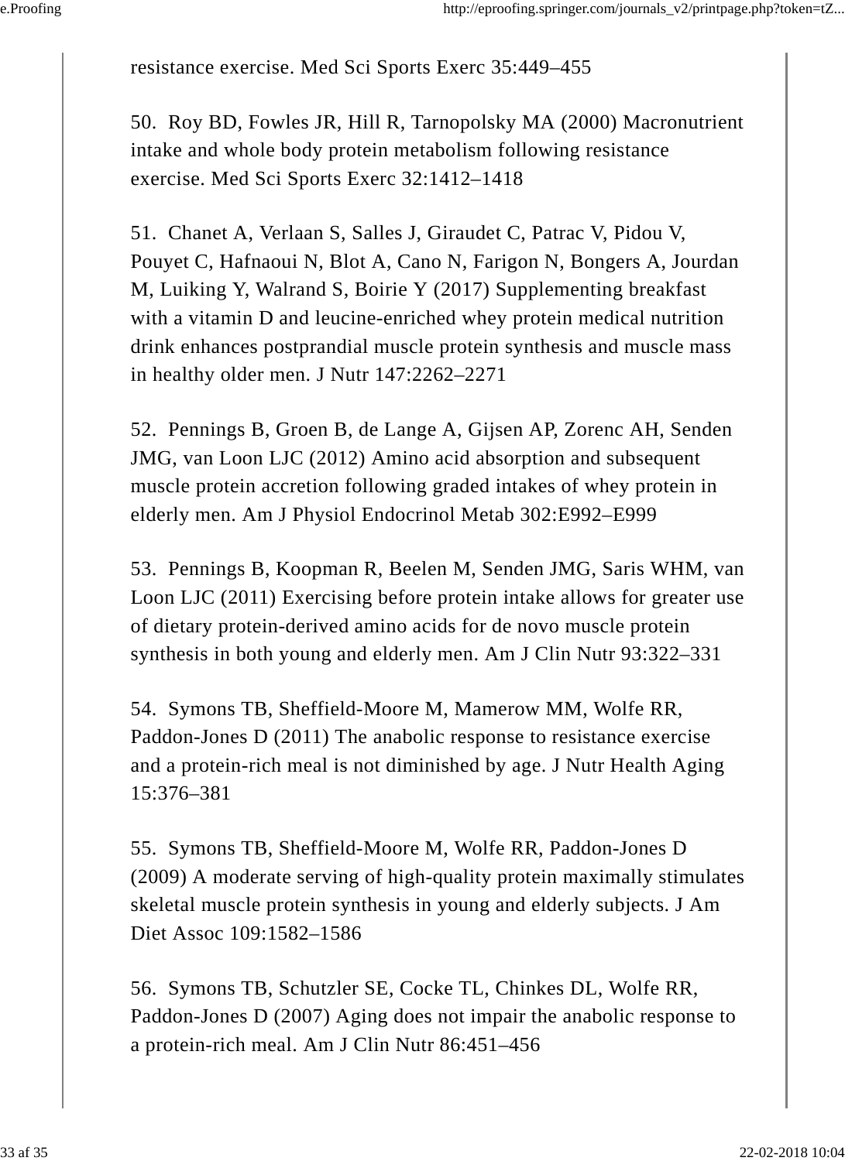resistance exercise. Med Sci Sports Exerc 35:449–455

50. Roy BD, Fowles JR, Hill R, Tarnopolsky MA (2000) Macronutrient intake and whole body protein metabolism following resistance exercise. Med Sci Sports Exerc 32:1412–1418

51. Chanet A, Verlaan S, Salles J, Giraudet C, Patrac V, Pidou V, Pouyet C, Hafnaoui N, Blot A, Cano N, Farigon N, Bongers A, Jourdan M, Luiking Y, Walrand S, Boirie Y (2017) Supplementing breakfast with a vitamin D and leucine-enriched whey protein medical nutrition drink enhances postprandial muscle protein synthesis and muscle mass in healthy older men. J Nutr 147:2262–2271

52. Pennings B, Groen B, de Lange A, Gijsen AP, Zorenc AH, Senden JMG, van Loon LJC (2012) Amino acid absorption and subsequent muscle protein accretion following graded intakes of whey protein in elderly men. Am J Physiol Endocrinol Metab 302:E992–E999

53. Pennings B, Koopman R, Beelen M, Senden JMG, Saris WHM, van Loon LJC (2011) Exercising before protein intake allows for greater use of dietary protein-derived amino acids for de novo muscle protein synthesis in both young and elderly men. Am J Clin Nutr 93:322–331

54. Symons TB, Sheffield-Moore M, Mamerow MM, Wolfe RR, Paddon-Jones D (2011) The anabolic response to resistance exercise and a protein-rich meal is not diminished by age. J Nutr Health Aging 15:376–381

55. Symons TB, Sheffield-Moore M, Wolfe RR, Paddon-Jones D (2009) A moderate serving of high-quality protein maximally stimulates skeletal muscle protein synthesis in young and elderly subjects. J Am Diet Assoc 109:1582–1586

56. Symons TB, Schutzler SE, Cocke TL, Chinkes DL, Wolfe RR, Paddon-Jones D (2007) Aging does not impair the anabolic response to a protein-rich meal. Am J Clin Nutr 86:451–456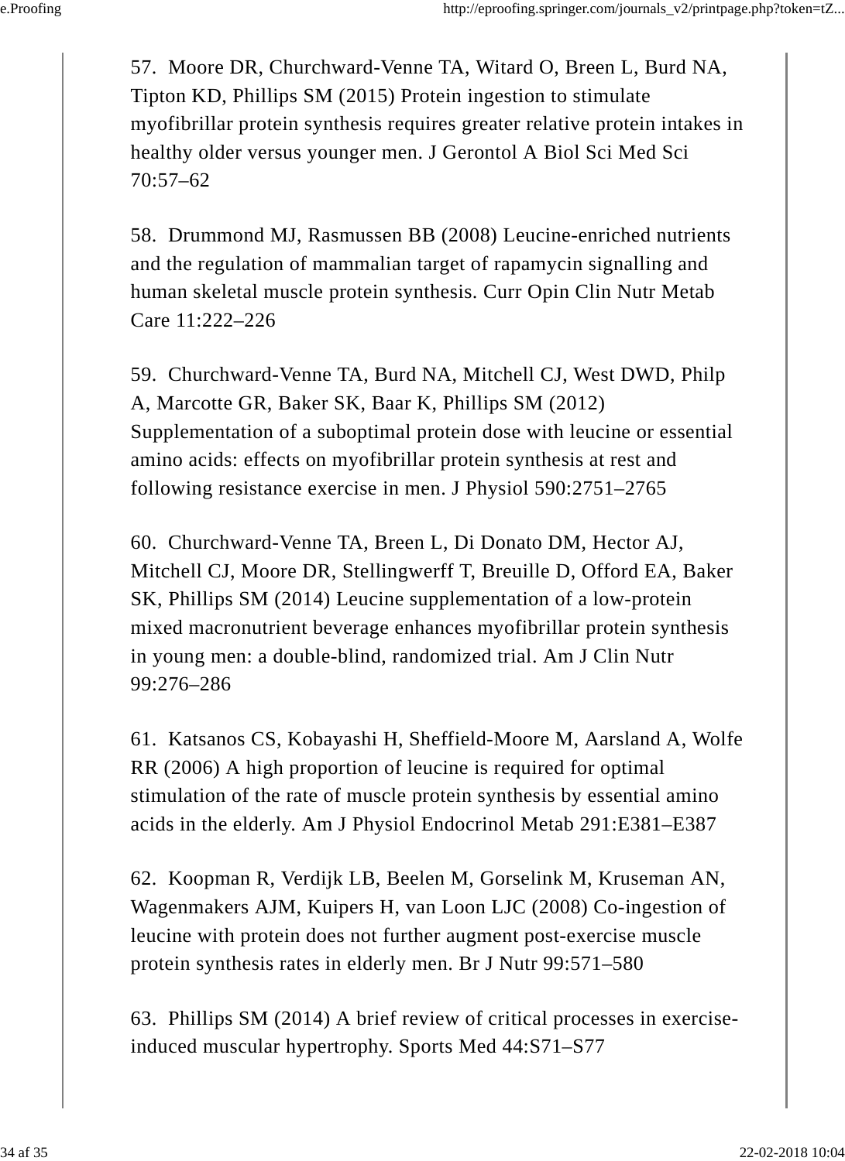57. Moore DR, Churchward-Venne TA, Witard O, Breen L, Burd NA, Tipton KD, Phillips SM (2015) Protein ingestion to stimulate myofibrillar protein synthesis requires greater relative protein intakes in healthy older versus younger men. J Gerontol A Biol Sci Med Sci 70:57–62

58. Drummond MJ, Rasmussen BB (2008) Leucine-enriched nutrients and the regulation of mammalian target of rapamycin signalling and human skeletal muscle protein synthesis. Curr Opin Clin Nutr Metab Care 11:222–226

59. Churchward-Venne TA, Burd NA, Mitchell CJ, West DWD, Philp A, Marcotte GR, Baker SK, Baar K, Phillips SM (2012) Supplementation of a suboptimal protein dose with leucine or essential amino acids: effects on myofibrillar protein synthesis at rest and following resistance exercise in men. J Physiol 590:2751–2765

60. Churchward-Venne TA, Breen L, Di Donato DM, Hector AJ, Mitchell CJ, Moore DR, Stellingwerff T, Breuille D, Offord EA, Baker SK, Phillips SM (2014) Leucine supplementation of a low-protein mixed macronutrient beverage enhances myofibrillar protein synthesis in young men: a double-blind, randomized trial. Am J Clin Nutr 99:276–286

61. Katsanos CS, Kobayashi H, Sheffield-Moore M, Aarsland A, Wolfe RR (2006) A high proportion of leucine is required for optimal stimulation of the rate of muscle protein synthesis by essential amino acids in the elderly. Am J Physiol Endocrinol Metab 291:E381–E387

62. Koopman R, Verdijk LB, Beelen M, Gorselink M, Kruseman AN, Wagenmakers AJM, Kuipers H, van Loon LJC (2008) Co-ingestion of leucine with protein does not further augment post-exercise muscle protein synthesis rates in elderly men. Br J Nutr 99:571–580

63. Phillips SM (2014) A brief review of critical processes in exerciseinduced muscular hypertrophy. Sports Med 44:S71–S77